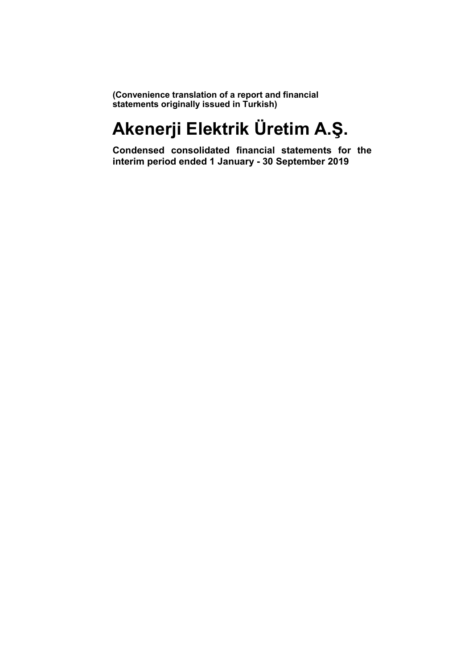(Convenience translation of a report and financial statements originally issued in Turkish)

# Akenerji Elektrik Üretim A.Ş.

Condensed consolidated financial statements for the interim period ended 1 January - 30 September 2019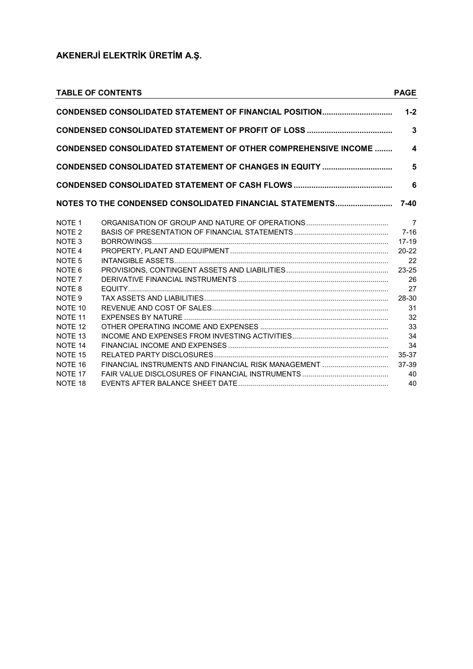|                    | <b>TABLE OF CONTENTS</b>                                               | <b>PAGE</b>             |
|--------------------|------------------------------------------------------------------------|-------------------------|
|                    | CONDENSED CONSOLIDATED STATEMENT OF FINANCIAL POSITION                 | $1 - 2$                 |
|                    |                                                                        | $\overline{3}$          |
|                    | <b>CONDENSED CONSOLIDATED STATEMENT OF OTHER COMPREHENSIVE INCOME </b> | $\overline{\mathbf{4}}$ |
|                    | CONDENSED CONSOLIDATED STATEMENT OF CHANGES IN EQUITY                  | 5                       |
|                    |                                                                        | 6                       |
|                    | NOTES TO THE CONDENSED CONSOLIDATED FINANCIAL STATEMENTS               | $7 - 40$                |
| NOTE <sub>1</sub>  |                                                                        | $\overline{7}$          |
| NOTE <sub>2</sub>  |                                                                        | $7 - 16$                |
| NOTE <sub>3</sub>  |                                                                        | $17 - 19$               |
| NOTE <sub>4</sub>  |                                                                        | $20 - 22$               |
| NOTE <sub>5</sub>  |                                                                        | 22                      |
| NOTE <sub>6</sub>  |                                                                        | $23 - 25$               |
| NOTE <sub>7</sub>  |                                                                        | 26                      |
| NOTE <sub>8</sub>  |                                                                        | 27                      |
| NOTE <sub>9</sub>  |                                                                        | 28-30                   |
| NOTE 10            |                                                                        | 31                      |
| NOTE 11            |                                                                        | 32                      |
| NOTE <sub>12</sub> |                                                                        | 33                      |
| NOTE <sub>13</sub> |                                                                        | 34                      |
| NOTE <sub>14</sub> |                                                                        | 34                      |
| NOTF <sub>15</sub> |                                                                        | 35-37                   |
| NOTE 16            |                                                                        | 37-39                   |
| NOTF <sub>17</sub> |                                                                        | 40                      |
| NOTF <sub>18</sub> |                                                                        | 40                      |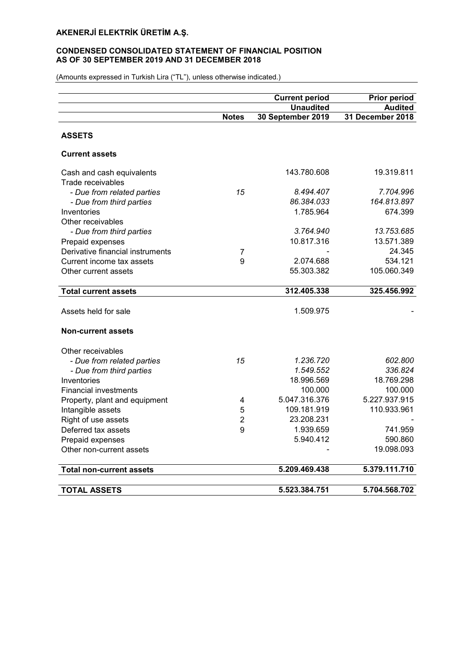# CONDENSED CONSOLIDATED STATEMENT OF FINANCIAL POSITION AS OF 30 SEPTEMBER 2019 AND 31 DECEMBER 2018

|                                  |                | <b>Current period</b> | <b>Prior period</b> |
|----------------------------------|----------------|-----------------------|---------------------|
|                                  |                | <b>Unaudited</b>      | <b>Audited</b>      |
|                                  | <b>Notes</b>   | 30 September 2019     | 31 December 2018    |
|                                  |                |                       |                     |
| <b>ASSETS</b>                    |                |                       |                     |
| <b>Current assets</b>            |                |                       |                     |
| Cash and cash equivalents        |                | 143.780.608           | 19.319.811          |
| Trade receivables                |                |                       |                     |
| - Due from related parties       | 15             | 8.494.407             | 7.704.996           |
| - Due from third parties         |                | 86.384.033            | 164.813.897         |
| Inventories                      |                | 1.785.964             | 674.399             |
| Other receivables                |                |                       |                     |
| - Due from third parties         |                | 3.764.940             | 13.753.685          |
| Prepaid expenses                 |                | 10.817.316            | 13.571.389          |
| Derivative financial instruments | 7              |                       | 24.345              |
| Current income tax assets        | 9              | 2.074.688             | 534.121             |
| Other current assets             |                | 55.303.382            | 105.060.349         |
|                                  |                |                       |                     |
| <b>Total current assets</b>      |                | 312.405.338           | 325.456.992         |
|                                  |                |                       |                     |
| Assets held for sale             |                | 1.509.975             |                     |
| <b>Non-current assets</b>        |                |                       |                     |
|                                  |                |                       |                     |
| Other receivables                |                |                       |                     |
| - Due from related parties       | 15             | 1.236.720             | 602.800             |
| - Due from third parties         |                | 1.549.552             | 336.824             |
| Inventories                      |                | 18.996.569            | 18.769.298          |
| <b>Financial investments</b>     |                | 100.000               | 100.000             |
| Property, plant and equipment    | 4              | 5.047.316.376         | 5.227.937.915       |
| Intangible assets                | 5              | 109.181.919           | 110.933.961         |
| Right of use assets              | $\overline{2}$ | 23.208.231            |                     |
| Deferred tax assets              | 9              | 1.939.659             | 741.959             |
| Prepaid expenses                 |                | 5.940.412             | 590.860             |
| Other non-current assets         |                |                       | 19.098.093          |
| Total non-current assets         |                | 5.209.469.438         | 5.379.111.710       |
|                                  |                |                       |                     |
| <b>TOTAL ASSETS</b>              |                | 5.523.384.751         | 5.704.568.702       |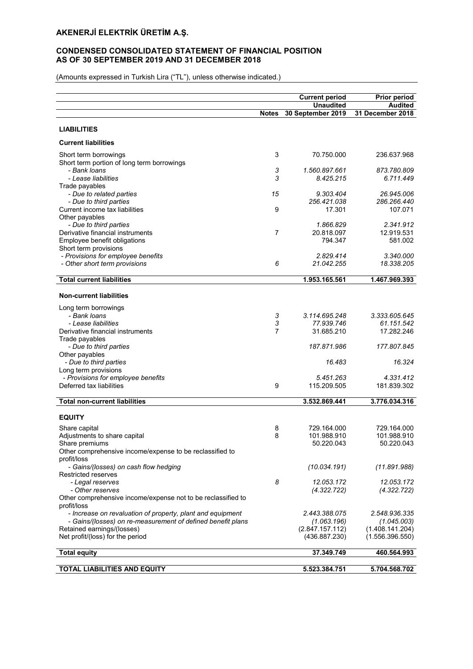# CONDENSED CONSOLIDATED STATEMENT OF FINANCIAL POSITION AS OF 30 SEPTEMBER 2019 AND 31 DECEMBER 2018

| <b>Unaudited</b><br><b>Audited</b><br>31 December 2018<br><b>Notes</b><br>30 September 2019<br><b>LIABILITIES</b><br><b>Current liabilities</b><br>3<br>Short term borrowings<br>70.750.000<br>236.637.968<br>Short term portion of long term borrowings<br>3<br>- Bank Ioans<br>1.560.897.661<br>873.780.809<br>3<br>- Lease liabilities<br>8.425.215<br>6.711.449<br>Trade payables<br>15<br>9.303.404<br>26.945.006<br>- Due to related parties<br>286.266.440<br>- Due to third parties<br>256.421.038<br>9<br>17.301<br>107.071<br>Current income tax liabilities<br>Other payables<br>- Due to third parties<br>1.866.829<br>2.341.912<br>Derivative financial instruments<br>7<br>12.919.531<br>20.818.097<br>Employee benefit obligations<br>794.347<br>581.002<br>Short term provisions<br>- Provisions for employee benefits<br>2.829.414<br>3.340.000<br>6<br>- Other short term provisions<br>21.042.255<br>18.338.205<br><b>Total current liabilities</b><br>1.953.165.561<br>1.467.969.393<br><b>Non-current liabilities</b><br>Long term borrowings<br>3.114.695.248<br>3.333.605.645<br>- Bank Ioans<br>3<br>3<br>61.151.542<br>- Lease liabilities<br>77.939.746<br>7<br>31.685.210<br>17.282.246<br>Derivative financial instruments<br>Trade payables<br>187.871.986<br>177.807.845<br>- Due to third parties<br>Other payables<br>- Due to third parties<br>16.324<br>16.483<br>Long term provisions<br>- Provisions for employee benefits<br>5.451.263<br>4.331.412<br>Deferred tax liabilities<br>9<br>115.209.505<br>181.839.302<br><b>Total non-current liabilities</b><br>3.532.869.441<br>3.776.034.316<br><b>EQUITY</b><br>729.164.000<br>Share capital<br>8<br>729.164.000<br>8<br>101.988.910<br>101.988.910<br>Adjustments to share capital<br>50.220.043<br>50.220.043<br>Share premiums<br>Other comprehensive income/expense to be reclassified to<br>profit/loss<br>- Gains/(losses) on cash flow hedging<br>(10.034.191)<br>(11.891.988)<br><b>Restricted reserves</b><br>8<br>12.053.172<br>- Legal reserves<br>12.053.172<br>- Other reserves<br>(4.322.722)<br>(4.322.722)<br>Other comprehensive income/expense not to be reclassified to<br>profit/loss<br>- Increase on revaluation of property, plant and equipment<br>2.443.388.075<br>2.548.936.335<br>- Gains/(losses) on re-measurement of defined benefit plans<br>(1.063.196)<br>(1.045.003)<br>Retained earnings/(losses)<br>(2.847.157.112)<br>(1.408.141.204)<br>Net profit/(loss) for the period<br>(436.887.230)<br>(1.556.396.550)<br><b>Total equity</b><br>37.349.749<br>460.564.993 |                                     | <b>Current period</b> | <b>Prior period</b> |
|----------------------------------------------------------------------------------------------------------------------------------------------------------------------------------------------------------------------------------------------------------------------------------------------------------------------------------------------------------------------------------------------------------------------------------------------------------------------------------------------------------------------------------------------------------------------------------------------------------------------------------------------------------------------------------------------------------------------------------------------------------------------------------------------------------------------------------------------------------------------------------------------------------------------------------------------------------------------------------------------------------------------------------------------------------------------------------------------------------------------------------------------------------------------------------------------------------------------------------------------------------------------------------------------------------------------------------------------------------------------------------------------------------------------------------------------------------------------------------------------------------------------------------------------------------------------------------------------------------------------------------------------------------------------------------------------------------------------------------------------------------------------------------------------------------------------------------------------------------------------------------------------------------------------------------------------------------------------------------------------------------------------------------------------------------------------------------------------------------------------------------------------------------------------------------------------------------------------------------------------------------------------------------------------------------------------------------------------------------------------------------------------------------------------------------------------------------------------------------------------------------------------------------------------------------------------------------------------|-------------------------------------|-----------------------|---------------------|
|                                                                                                                                                                                                                                                                                                                                                                                                                                                                                                                                                                                                                                                                                                                                                                                                                                                                                                                                                                                                                                                                                                                                                                                                                                                                                                                                                                                                                                                                                                                                                                                                                                                                                                                                                                                                                                                                                                                                                                                                                                                                                                                                                                                                                                                                                                                                                                                                                                                                                                                                                                                              |                                     |                       |                     |
|                                                                                                                                                                                                                                                                                                                                                                                                                                                                                                                                                                                                                                                                                                                                                                                                                                                                                                                                                                                                                                                                                                                                                                                                                                                                                                                                                                                                                                                                                                                                                                                                                                                                                                                                                                                                                                                                                                                                                                                                                                                                                                                                                                                                                                                                                                                                                                                                                                                                                                                                                                                              |                                     |                       |                     |
|                                                                                                                                                                                                                                                                                                                                                                                                                                                                                                                                                                                                                                                                                                                                                                                                                                                                                                                                                                                                                                                                                                                                                                                                                                                                                                                                                                                                                                                                                                                                                                                                                                                                                                                                                                                                                                                                                                                                                                                                                                                                                                                                                                                                                                                                                                                                                                                                                                                                                                                                                                                              |                                     |                       |                     |
|                                                                                                                                                                                                                                                                                                                                                                                                                                                                                                                                                                                                                                                                                                                                                                                                                                                                                                                                                                                                                                                                                                                                                                                                                                                                                                                                                                                                                                                                                                                                                                                                                                                                                                                                                                                                                                                                                                                                                                                                                                                                                                                                                                                                                                                                                                                                                                                                                                                                                                                                                                                              |                                     |                       |                     |
|                                                                                                                                                                                                                                                                                                                                                                                                                                                                                                                                                                                                                                                                                                                                                                                                                                                                                                                                                                                                                                                                                                                                                                                                                                                                                                                                                                                                                                                                                                                                                                                                                                                                                                                                                                                                                                                                                                                                                                                                                                                                                                                                                                                                                                                                                                                                                                                                                                                                                                                                                                                              |                                     |                       |                     |
|                                                                                                                                                                                                                                                                                                                                                                                                                                                                                                                                                                                                                                                                                                                                                                                                                                                                                                                                                                                                                                                                                                                                                                                                                                                                                                                                                                                                                                                                                                                                                                                                                                                                                                                                                                                                                                                                                                                                                                                                                                                                                                                                                                                                                                                                                                                                                                                                                                                                                                                                                                                              |                                     |                       |                     |
|                                                                                                                                                                                                                                                                                                                                                                                                                                                                                                                                                                                                                                                                                                                                                                                                                                                                                                                                                                                                                                                                                                                                                                                                                                                                                                                                                                                                                                                                                                                                                                                                                                                                                                                                                                                                                                                                                                                                                                                                                                                                                                                                                                                                                                                                                                                                                                                                                                                                                                                                                                                              |                                     |                       |                     |
|                                                                                                                                                                                                                                                                                                                                                                                                                                                                                                                                                                                                                                                                                                                                                                                                                                                                                                                                                                                                                                                                                                                                                                                                                                                                                                                                                                                                                                                                                                                                                                                                                                                                                                                                                                                                                                                                                                                                                                                                                                                                                                                                                                                                                                                                                                                                                                                                                                                                                                                                                                                              |                                     |                       |                     |
|                                                                                                                                                                                                                                                                                                                                                                                                                                                                                                                                                                                                                                                                                                                                                                                                                                                                                                                                                                                                                                                                                                                                                                                                                                                                                                                                                                                                                                                                                                                                                                                                                                                                                                                                                                                                                                                                                                                                                                                                                                                                                                                                                                                                                                                                                                                                                                                                                                                                                                                                                                                              |                                     |                       |                     |
|                                                                                                                                                                                                                                                                                                                                                                                                                                                                                                                                                                                                                                                                                                                                                                                                                                                                                                                                                                                                                                                                                                                                                                                                                                                                                                                                                                                                                                                                                                                                                                                                                                                                                                                                                                                                                                                                                                                                                                                                                                                                                                                                                                                                                                                                                                                                                                                                                                                                                                                                                                                              |                                     |                       |                     |
|                                                                                                                                                                                                                                                                                                                                                                                                                                                                                                                                                                                                                                                                                                                                                                                                                                                                                                                                                                                                                                                                                                                                                                                                                                                                                                                                                                                                                                                                                                                                                                                                                                                                                                                                                                                                                                                                                                                                                                                                                                                                                                                                                                                                                                                                                                                                                                                                                                                                                                                                                                                              |                                     |                       |                     |
|                                                                                                                                                                                                                                                                                                                                                                                                                                                                                                                                                                                                                                                                                                                                                                                                                                                                                                                                                                                                                                                                                                                                                                                                                                                                                                                                                                                                                                                                                                                                                                                                                                                                                                                                                                                                                                                                                                                                                                                                                                                                                                                                                                                                                                                                                                                                                                                                                                                                                                                                                                                              |                                     |                       |                     |
|                                                                                                                                                                                                                                                                                                                                                                                                                                                                                                                                                                                                                                                                                                                                                                                                                                                                                                                                                                                                                                                                                                                                                                                                                                                                                                                                                                                                                                                                                                                                                                                                                                                                                                                                                                                                                                                                                                                                                                                                                                                                                                                                                                                                                                                                                                                                                                                                                                                                                                                                                                                              |                                     |                       |                     |
|                                                                                                                                                                                                                                                                                                                                                                                                                                                                                                                                                                                                                                                                                                                                                                                                                                                                                                                                                                                                                                                                                                                                                                                                                                                                                                                                                                                                                                                                                                                                                                                                                                                                                                                                                                                                                                                                                                                                                                                                                                                                                                                                                                                                                                                                                                                                                                                                                                                                                                                                                                                              |                                     |                       |                     |
|                                                                                                                                                                                                                                                                                                                                                                                                                                                                                                                                                                                                                                                                                                                                                                                                                                                                                                                                                                                                                                                                                                                                                                                                                                                                                                                                                                                                                                                                                                                                                                                                                                                                                                                                                                                                                                                                                                                                                                                                                                                                                                                                                                                                                                                                                                                                                                                                                                                                                                                                                                                              |                                     |                       |                     |
|                                                                                                                                                                                                                                                                                                                                                                                                                                                                                                                                                                                                                                                                                                                                                                                                                                                                                                                                                                                                                                                                                                                                                                                                                                                                                                                                                                                                                                                                                                                                                                                                                                                                                                                                                                                                                                                                                                                                                                                                                                                                                                                                                                                                                                                                                                                                                                                                                                                                                                                                                                                              |                                     |                       |                     |
|                                                                                                                                                                                                                                                                                                                                                                                                                                                                                                                                                                                                                                                                                                                                                                                                                                                                                                                                                                                                                                                                                                                                                                                                                                                                                                                                                                                                                                                                                                                                                                                                                                                                                                                                                                                                                                                                                                                                                                                                                                                                                                                                                                                                                                                                                                                                                                                                                                                                                                                                                                                              |                                     |                       |                     |
|                                                                                                                                                                                                                                                                                                                                                                                                                                                                                                                                                                                                                                                                                                                                                                                                                                                                                                                                                                                                                                                                                                                                                                                                                                                                                                                                                                                                                                                                                                                                                                                                                                                                                                                                                                                                                                                                                                                                                                                                                                                                                                                                                                                                                                                                                                                                                                                                                                                                                                                                                                                              |                                     |                       |                     |
|                                                                                                                                                                                                                                                                                                                                                                                                                                                                                                                                                                                                                                                                                                                                                                                                                                                                                                                                                                                                                                                                                                                                                                                                                                                                                                                                                                                                                                                                                                                                                                                                                                                                                                                                                                                                                                                                                                                                                                                                                                                                                                                                                                                                                                                                                                                                                                                                                                                                                                                                                                                              |                                     |                       |                     |
|                                                                                                                                                                                                                                                                                                                                                                                                                                                                                                                                                                                                                                                                                                                                                                                                                                                                                                                                                                                                                                                                                                                                                                                                                                                                                                                                                                                                                                                                                                                                                                                                                                                                                                                                                                                                                                                                                                                                                                                                                                                                                                                                                                                                                                                                                                                                                                                                                                                                                                                                                                                              |                                     |                       |                     |
|                                                                                                                                                                                                                                                                                                                                                                                                                                                                                                                                                                                                                                                                                                                                                                                                                                                                                                                                                                                                                                                                                                                                                                                                                                                                                                                                                                                                                                                                                                                                                                                                                                                                                                                                                                                                                                                                                                                                                                                                                                                                                                                                                                                                                                                                                                                                                                                                                                                                                                                                                                                              |                                     |                       |                     |
|                                                                                                                                                                                                                                                                                                                                                                                                                                                                                                                                                                                                                                                                                                                                                                                                                                                                                                                                                                                                                                                                                                                                                                                                                                                                                                                                                                                                                                                                                                                                                                                                                                                                                                                                                                                                                                                                                                                                                                                                                                                                                                                                                                                                                                                                                                                                                                                                                                                                                                                                                                                              |                                     |                       |                     |
|                                                                                                                                                                                                                                                                                                                                                                                                                                                                                                                                                                                                                                                                                                                                                                                                                                                                                                                                                                                                                                                                                                                                                                                                                                                                                                                                                                                                                                                                                                                                                                                                                                                                                                                                                                                                                                                                                                                                                                                                                                                                                                                                                                                                                                                                                                                                                                                                                                                                                                                                                                                              |                                     |                       |                     |
|                                                                                                                                                                                                                                                                                                                                                                                                                                                                                                                                                                                                                                                                                                                                                                                                                                                                                                                                                                                                                                                                                                                                                                                                                                                                                                                                                                                                                                                                                                                                                                                                                                                                                                                                                                                                                                                                                                                                                                                                                                                                                                                                                                                                                                                                                                                                                                                                                                                                                                                                                                                              |                                     |                       |                     |
|                                                                                                                                                                                                                                                                                                                                                                                                                                                                                                                                                                                                                                                                                                                                                                                                                                                                                                                                                                                                                                                                                                                                                                                                                                                                                                                                                                                                                                                                                                                                                                                                                                                                                                                                                                                                                                                                                                                                                                                                                                                                                                                                                                                                                                                                                                                                                                                                                                                                                                                                                                                              |                                     |                       |                     |
|                                                                                                                                                                                                                                                                                                                                                                                                                                                                                                                                                                                                                                                                                                                                                                                                                                                                                                                                                                                                                                                                                                                                                                                                                                                                                                                                                                                                                                                                                                                                                                                                                                                                                                                                                                                                                                                                                                                                                                                                                                                                                                                                                                                                                                                                                                                                                                                                                                                                                                                                                                                              |                                     |                       |                     |
|                                                                                                                                                                                                                                                                                                                                                                                                                                                                                                                                                                                                                                                                                                                                                                                                                                                                                                                                                                                                                                                                                                                                                                                                                                                                                                                                                                                                                                                                                                                                                                                                                                                                                                                                                                                                                                                                                                                                                                                                                                                                                                                                                                                                                                                                                                                                                                                                                                                                                                                                                                                              |                                     |                       |                     |
|                                                                                                                                                                                                                                                                                                                                                                                                                                                                                                                                                                                                                                                                                                                                                                                                                                                                                                                                                                                                                                                                                                                                                                                                                                                                                                                                                                                                                                                                                                                                                                                                                                                                                                                                                                                                                                                                                                                                                                                                                                                                                                                                                                                                                                                                                                                                                                                                                                                                                                                                                                                              |                                     |                       |                     |
|                                                                                                                                                                                                                                                                                                                                                                                                                                                                                                                                                                                                                                                                                                                                                                                                                                                                                                                                                                                                                                                                                                                                                                                                                                                                                                                                                                                                                                                                                                                                                                                                                                                                                                                                                                                                                                                                                                                                                                                                                                                                                                                                                                                                                                                                                                                                                                                                                                                                                                                                                                                              |                                     |                       |                     |
|                                                                                                                                                                                                                                                                                                                                                                                                                                                                                                                                                                                                                                                                                                                                                                                                                                                                                                                                                                                                                                                                                                                                                                                                                                                                                                                                                                                                                                                                                                                                                                                                                                                                                                                                                                                                                                                                                                                                                                                                                                                                                                                                                                                                                                                                                                                                                                                                                                                                                                                                                                                              |                                     |                       |                     |
|                                                                                                                                                                                                                                                                                                                                                                                                                                                                                                                                                                                                                                                                                                                                                                                                                                                                                                                                                                                                                                                                                                                                                                                                                                                                                                                                                                                                                                                                                                                                                                                                                                                                                                                                                                                                                                                                                                                                                                                                                                                                                                                                                                                                                                                                                                                                                                                                                                                                                                                                                                                              |                                     |                       |                     |
|                                                                                                                                                                                                                                                                                                                                                                                                                                                                                                                                                                                                                                                                                                                                                                                                                                                                                                                                                                                                                                                                                                                                                                                                                                                                                                                                                                                                                                                                                                                                                                                                                                                                                                                                                                                                                                                                                                                                                                                                                                                                                                                                                                                                                                                                                                                                                                                                                                                                                                                                                                                              |                                     |                       |                     |
|                                                                                                                                                                                                                                                                                                                                                                                                                                                                                                                                                                                                                                                                                                                                                                                                                                                                                                                                                                                                                                                                                                                                                                                                                                                                                                                                                                                                                                                                                                                                                                                                                                                                                                                                                                                                                                                                                                                                                                                                                                                                                                                                                                                                                                                                                                                                                                                                                                                                                                                                                                                              |                                     |                       |                     |
|                                                                                                                                                                                                                                                                                                                                                                                                                                                                                                                                                                                                                                                                                                                                                                                                                                                                                                                                                                                                                                                                                                                                                                                                                                                                                                                                                                                                                                                                                                                                                                                                                                                                                                                                                                                                                                                                                                                                                                                                                                                                                                                                                                                                                                                                                                                                                                                                                                                                                                                                                                                              |                                     |                       |                     |
|                                                                                                                                                                                                                                                                                                                                                                                                                                                                                                                                                                                                                                                                                                                                                                                                                                                                                                                                                                                                                                                                                                                                                                                                                                                                                                                                                                                                                                                                                                                                                                                                                                                                                                                                                                                                                                                                                                                                                                                                                                                                                                                                                                                                                                                                                                                                                                                                                                                                                                                                                                                              |                                     |                       |                     |
|                                                                                                                                                                                                                                                                                                                                                                                                                                                                                                                                                                                                                                                                                                                                                                                                                                                                                                                                                                                                                                                                                                                                                                                                                                                                                                                                                                                                                                                                                                                                                                                                                                                                                                                                                                                                                                                                                                                                                                                                                                                                                                                                                                                                                                                                                                                                                                                                                                                                                                                                                                                              |                                     |                       |                     |
|                                                                                                                                                                                                                                                                                                                                                                                                                                                                                                                                                                                                                                                                                                                                                                                                                                                                                                                                                                                                                                                                                                                                                                                                                                                                                                                                                                                                                                                                                                                                                                                                                                                                                                                                                                                                                                                                                                                                                                                                                                                                                                                                                                                                                                                                                                                                                                                                                                                                                                                                                                                              |                                     |                       |                     |
|                                                                                                                                                                                                                                                                                                                                                                                                                                                                                                                                                                                                                                                                                                                                                                                                                                                                                                                                                                                                                                                                                                                                                                                                                                                                                                                                                                                                                                                                                                                                                                                                                                                                                                                                                                                                                                                                                                                                                                                                                                                                                                                                                                                                                                                                                                                                                                                                                                                                                                                                                                                              |                                     |                       |                     |
|                                                                                                                                                                                                                                                                                                                                                                                                                                                                                                                                                                                                                                                                                                                                                                                                                                                                                                                                                                                                                                                                                                                                                                                                                                                                                                                                                                                                                                                                                                                                                                                                                                                                                                                                                                                                                                                                                                                                                                                                                                                                                                                                                                                                                                                                                                                                                                                                                                                                                                                                                                                              |                                     |                       |                     |
|                                                                                                                                                                                                                                                                                                                                                                                                                                                                                                                                                                                                                                                                                                                                                                                                                                                                                                                                                                                                                                                                                                                                                                                                                                                                                                                                                                                                                                                                                                                                                                                                                                                                                                                                                                                                                                                                                                                                                                                                                                                                                                                                                                                                                                                                                                                                                                                                                                                                                                                                                                                              |                                     |                       |                     |
|                                                                                                                                                                                                                                                                                                                                                                                                                                                                                                                                                                                                                                                                                                                                                                                                                                                                                                                                                                                                                                                                                                                                                                                                                                                                                                                                                                                                                                                                                                                                                                                                                                                                                                                                                                                                                                                                                                                                                                                                                                                                                                                                                                                                                                                                                                                                                                                                                                                                                                                                                                                              |                                     |                       |                     |
|                                                                                                                                                                                                                                                                                                                                                                                                                                                                                                                                                                                                                                                                                                                                                                                                                                                                                                                                                                                                                                                                                                                                                                                                                                                                                                                                                                                                                                                                                                                                                                                                                                                                                                                                                                                                                                                                                                                                                                                                                                                                                                                                                                                                                                                                                                                                                                                                                                                                                                                                                                                              |                                     |                       |                     |
|                                                                                                                                                                                                                                                                                                                                                                                                                                                                                                                                                                                                                                                                                                                                                                                                                                                                                                                                                                                                                                                                                                                                                                                                                                                                                                                                                                                                                                                                                                                                                                                                                                                                                                                                                                                                                                                                                                                                                                                                                                                                                                                                                                                                                                                                                                                                                                                                                                                                                                                                                                                              |                                     |                       |                     |
|                                                                                                                                                                                                                                                                                                                                                                                                                                                                                                                                                                                                                                                                                                                                                                                                                                                                                                                                                                                                                                                                                                                                                                                                                                                                                                                                                                                                                                                                                                                                                                                                                                                                                                                                                                                                                                                                                                                                                                                                                                                                                                                                                                                                                                                                                                                                                                                                                                                                                                                                                                                              |                                     |                       |                     |
|                                                                                                                                                                                                                                                                                                                                                                                                                                                                                                                                                                                                                                                                                                                                                                                                                                                                                                                                                                                                                                                                                                                                                                                                                                                                                                                                                                                                                                                                                                                                                                                                                                                                                                                                                                                                                                                                                                                                                                                                                                                                                                                                                                                                                                                                                                                                                                                                                                                                                                                                                                                              |                                     |                       |                     |
|                                                                                                                                                                                                                                                                                                                                                                                                                                                                                                                                                                                                                                                                                                                                                                                                                                                                                                                                                                                                                                                                                                                                                                                                                                                                                                                                                                                                                                                                                                                                                                                                                                                                                                                                                                                                                                                                                                                                                                                                                                                                                                                                                                                                                                                                                                                                                                                                                                                                                                                                                                                              |                                     |                       |                     |
|                                                                                                                                                                                                                                                                                                                                                                                                                                                                                                                                                                                                                                                                                                                                                                                                                                                                                                                                                                                                                                                                                                                                                                                                                                                                                                                                                                                                                                                                                                                                                                                                                                                                                                                                                                                                                                                                                                                                                                                                                                                                                                                                                                                                                                                                                                                                                                                                                                                                                                                                                                                              |                                     |                       |                     |
|                                                                                                                                                                                                                                                                                                                                                                                                                                                                                                                                                                                                                                                                                                                                                                                                                                                                                                                                                                                                                                                                                                                                                                                                                                                                                                                                                                                                                                                                                                                                                                                                                                                                                                                                                                                                                                                                                                                                                                                                                                                                                                                                                                                                                                                                                                                                                                                                                                                                                                                                                                                              |                                     |                       |                     |
|                                                                                                                                                                                                                                                                                                                                                                                                                                                                                                                                                                                                                                                                                                                                                                                                                                                                                                                                                                                                                                                                                                                                                                                                                                                                                                                                                                                                                                                                                                                                                                                                                                                                                                                                                                                                                                                                                                                                                                                                                                                                                                                                                                                                                                                                                                                                                                                                                                                                                                                                                                                              |                                     |                       |                     |
|                                                                                                                                                                                                                                                                                                                                                                                                                                                                                                                                                                                                                                                                                                                                                                                                                                                                                                                                                                                                                                                                                                                                                                                                                                                                                                                                                                                                                                                                                                                                                                                                                                                                                                                                                                                                                                                                                                                                                                                                                                                                                                                                                                                                                                                                                                                                                                                                                                                                                                                                                                                              |                                     |                       |                     |
|                                                                                                                                                                                                                                                                                                                                                                                                                                                                                                                                                                                                                                                                                                                                                                                                                                                                                                                                                                                                                                                                                                                                                                                                                                                                                                                                                                                                                                                                                                                                                                                                                                                                                                                                                                                                                                                                                                                                                                                                                                                                                                                                                                                                                                                                                                                                                                                                                                                                                                                                                                                              |                                     |                       |                     |
|                                                                                                                                                                                                                                                                                                                                                                                                                                                                                                                                                                                                                                                                                                                                                                                                                                                                                                                                                                                                                                                                                                                                                                                                                                                                                                                                                                                                                                                                                                                                                                                                                                                                                                                                                                                                                                                                                                                                                                                                                                                                                                                                                                                                                                                                                                                                                                                                                                                                                                                                                                                              | <b>TOTAL LIABILITIES AND EQUITY</b> | 5.523.384.751         | 5.704.568.702       |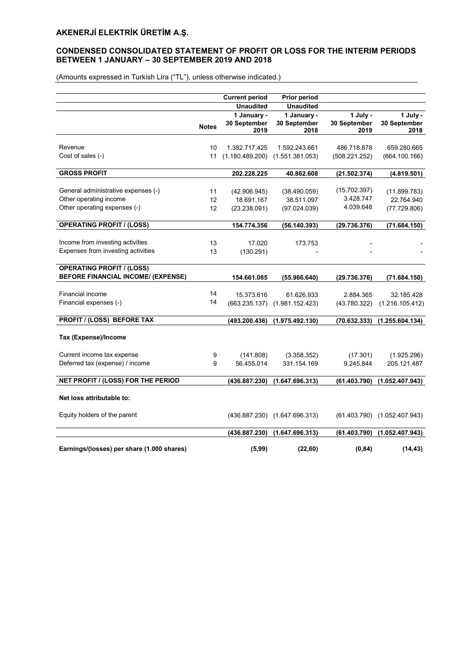# CONDENSED CONSOLIDATED STATEMENT OF PROFIT OR LOSS FOR THE INTERIM PERIODS BETWEEN 1 JANUARY – 30 SEPTEMBER 2019 AND 2018

|                                            |              | <b>Current period</b>      | <b>Prior period</b>           |                      |                              |
|--------------------------------------------|--------------|----------------------------|-------------------------------|----------------------|------------------------------|
|                                            |              | <b>Unaudited</b>           | <b>Unaudited</b>              |                      |                              |
|                                            |              | 1 January -                | 1 January -                   | 1 July -             | 1 July -                     |
|                                            | <b>Notes</b> | 30 September<br>2019       | 30 September<br>2018          | 30 September<br>2019 | 30 September<br>2018         |
| Revenue                                    | 10           | 1.382.717.425              | 1.592.243.661                 | 486.718.878          | 659.280.665                  |
| Cost of sales (-)                          | 11           | (1.180.489.200)            | (1.551.381.053)               | (508.221.252)        | (664.100.166)                |
| <b>GROSS PROFIT</b>                        |              | 202.228.225                | 40.862.608                    | (21.502.374)         | (4.819.501)                  |
| General administrative expenses (-)        |              |                            |                               | (15.702.397)         |                              |
| Other operating income                     | 11<br>12     | (42.906.945)<br>18.691.167 | (38.490.059)<br>38.511.097    | 3.428.747            | (11.899.783)<br>22.764.940   |
| Other operating expenses (-)               | 12           | (23.238.091)               | (97.024.039)                  | 4.039.648            | (77.729.806)                 |
|                                            |              |                            |                               |                      |                              |
| <b>OPERATING PROFIT / (LOSS)</b>           |              | 154.774.356                | (56.140.393)                  | (29.736.376)         | (71.684.150)                 |
| Income from investing activities           | 13           | 17.020                     | 173.753                       |                      |                              |
| Expenses from investing activities         | 13           | (130.291)                  |                               |                      |                              |
| <b>OPERATING PROFIT / (LOSS)</b>           |              |                            |                               |                      |                              |
| <b>BEFORE FINANCIAL INCOME/ (EXPENSE)</b>  |              | 154.661.085                | (55.966.640)                  | (29.736.376)         | (71.684.150)                 |
| Financial income                           | 14           | 15.373.616                 | 61.626.933                    | 2.884.365            | 32.185.428                   |
| Financial expenses (-)                     | 14           |                            | (663.235.137) (1.981.152.423) | (43.780.322)         | (1.216.105.412)              |
| <b>PROFIT / (LOSS) BEFORE TAX</b>          |              | (493.200.436)              | (1.975.492.130)               | (70.632.333)         | (1.255.604.134)              |
| Tax (Expense)/Income                       |              |                            |                               |                      |                              |
| Current income tax expense                 | 9            | (141.808)                  | (3.358.352)                   | (17.301)             | (1.925.296)                  |
| Deferred tax (expense) / income            | 9            | 56.455.014                 | 331.154.169                   | 9.245.844            | 205.121.487                  |
| NET PROFIT / (LOSS) FOR THE PERIOD         |              | (436.887.230)              | (1.647.696.313)               | (61.403.790)         | (1.052.407.943)              |
| Net loss attributable to:                  |              |                            |                               |                      |                              |
|                                            |              |                            |                               |                      |                              |
| Equity holders of the parent               |              |                            | (436.887.230) (1.647.696.313) |                      | (61.403.790) (1.052.407.943) |
|                                            |              | (436.887.230)              | (1.647.696.313)               | (61.403.790)         | (1.052.407.943)              |
| Earnings/(losses) per share (1.000 shares) |              | (5, 99)                    | (22, 60)                      | (0, 84)              | (14, 43)                     |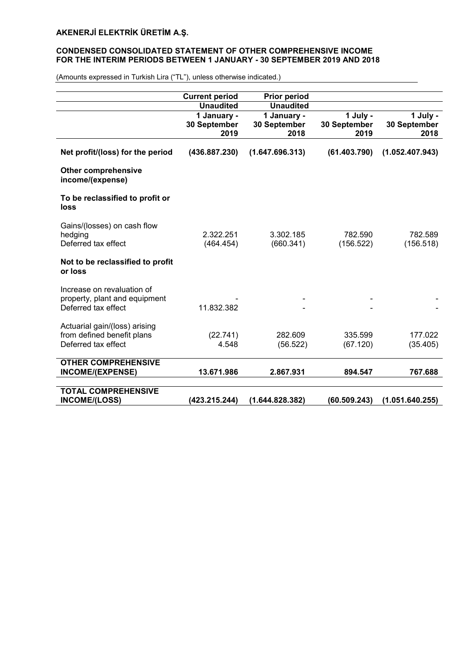# CONDENSED CONSOLIDATED STATEMENT OF OTHER COMPREHENSIVE INCOME FOR THE INTERIM PERIODS BETWEEN 1 JANUARY - 30 SEPTEMBER 2019 AND 2018

|                                                | <b>Current period</b> | <b>Prior period</b> |              |                 |
|------------------------------------------------|-----------------------|---------------------|--------------|-----------------|
|                                                | <b>Unaudited</b>      | <b>Unaudited</b>    |              |                 |
|                                                | 1 January -           | 1 January -         | 1 July -     | 1 July -        |
|                                                | 30 September          | 30 September        | 30 September | 30 September    |
|                                                | 2019                  | 2018                | 2019         | 2018            |
| Net profit/(loss) for the period               | (436.887.230)         | (1.647.696.313)     | (61.403.790) | (1.052.407.943) |
| <b>Other comprehensive</b><br>income/(expense) |                       |                     |              |                 |
| To be reclassified to profit or<br>loss        |                       |                     |              |                 |
| Gains/(losses) on cash flow                    |                       |                     |              |                 |
| hedging                                        | 2.322.251             | 3.302.185           | 782.590      | 782.589         |
| Deferred tax effect                            | (464.454)             | (660.341)           | (156.522)    | (156.518)       |
|                                                |                       |                     |              |                 |
| Not to be reclassified to profit<br>or loss    |                       |                     |              |                 |
| Increase on revaluation of                     |                       |                     |              |                 |
| property, plant and equipment                  |                       |                     |              |                 |
| Deferred tax effect                            | 11.832.382            |                     |              |                 |
|                                                |                       |                     |              |                 |
| Actuarial gain/(loss) arising                  |                       |                     |              |                 |
| from defined benefit plans                     | (22.741)              | 282.609             | 335.599      | 177.022         |
| Deferred tax effect                            | 4.548                 | (56.522)            | (67.120)     | (35.405)        |
|                                                |                       |                     |              |                 |
| <b>OTHER COMPREHENSIVE</b>                     |                       |                     |              |                 |
| INCOME/(EXPENSE)                               | 13.671.986            | 2.867.931           | 894.547      | 767.688         |
|                                                |                       |                     |              |                 |
| <b>TOTAL COMPREHENSIVE</b>                     |                       |                     |              |                 |
| <b>INCOME/(LOSS)</b>                           | (423.215.244)         | (1.644.828.382)     | (60.509.243) | (1.051.640.255) |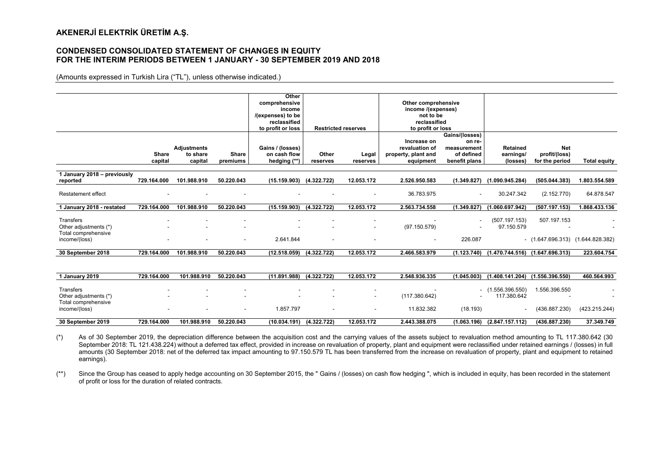#### CONDENSED CONSOLIDATED STATEMENT OF CHANGES IN EQUITY FOR THE INTERIM PERIODS BETWEEN 1 JANUARY - 30 SEPTEMBER 2019 AND 2018

(Amounts expressed in Turkish Lira ("TL"), unless otherwise indicated.)

|                             |                          |                          |                          | Other                    |                            |                          |                          |                          |                                                   |                                     |                     |
|-----------------------------|--------------------------|--------------------------|--------------------------|--------------------------|----------------------------|--------------------------|--------------------------|--------------------------|---------------------------------------------------|-------------------------------------|---------------------|
|                             |                          |                          |                          | comprehensive            |                            |                          | Other comprehensive      |                          |                                                   |                                     |                     |
|                             |                          |                          |                          | income                   |                            |                          | income /(expenses)       |                          |                                                   |                                     |                     |
|                             |                          |                          |                          | /(expenses) to be        |                            |                          | not to be                |                          |                                                   |                                     |                     |
|                             |                          |                          |                          | reclassified             |                            |                          | reclassified             |                          |                                                   |                                     |                     |
|                             |                          |                          |                          | to profit or loss        | <b>Restricted reserves</b> |                          | to profit or loss        |                          |                                                   |                                     |                     |
|                             |                          |                          |                          |                          |                            |                          |                          | Gains/(losses)           |                                                   |                                     |                     |
|                             |                          |                          |                          |                          |                            |                          | Increase on              | on re-                   |                                                   |                                     |                     |
|                             |                          | Adjustments              |                          | Gains / (losses)         |                            |                          | revaluation of           | measurement              | <b>Retained</b>                                   | <b>Net</b>                          |                     |
|                             | <b>Share</b>             | to share                 | Share                    | on cash flow             | Other                      | Legal                    | property, plant and      | of defined               | earnings/                                         | profit/(loss)                       |                     |
|                             | capital                  | capital                  | premiums                 | hedging (**)             | reserves                   | reserves                 | equipment                | benefit plans            | (losses)                                          | for the period                      | <b>Total equity</b> |
|                             |                          |                          |                          |                          |                            |                          |                          |                          |                                                   |                                     |                     |
| 1 January 2018 - previously |                          |                          |                          |                          |                            |                          |                          |                          |                                                   |                                     |                     |
| reported                    | 729.164.000              | 101.988.910              | 50.220.043               | (15.159.903)             | (4.322.722)                | 12.053.172               | 2.526.950.583            | (1.349.827)              | (1.090.945.284)                                   | (505.044.383)                       | 1.803.554.589       |
|                             |                          |                          |                          |                          |                            |                          |                          |                          |                                                   |                                     |                     |
| <b>Restatement effect</b>   | ۰.                       |                          |                          | $\overline{\phantom{0}}$ |                            | $\overline{\phantom{a}}$ | 36.783.975               | $\sim$                   | 30.247.342                                        | (2.152.770)                         | 64.878.547          |
|                             |                          |                          |                          |                          |                            |                          |                          |                          |                                                   |                                     |                     |
| 1 January 2018 - restated   | 729.164.000              | 101.988.910              | 50.220.043               | (15.159.903)             | (4.322.722)                | 12.053.172               | 2.563.734.558            | (1.349.827)              | (1.060.697.942)                                   | (507.197.153)                       | 1.868.433.136       |
|                             |                          |                          |                          |                          |                            |                          |                          |                          |                                                   |                                     |                     |
| Transfers                   |                          |                          |                          |                          |                            | $\overline{\phantom{a}}$ |                          | $\overline{\phantom{a}}$ | (507.197.153)                                     | 507.197.153                         |                     |
| Other adjustments (*)       |                          |                          | $\overline{\phantom{a}}$ | $\overline{\phantom{a}}$ | $\overline{\phantom{a}}$   | $\overline{\phantom{a}}$ | (97.150.579)             | $\overline{\phantom{a}}$ | 97.150.579                                        |                                     |                     |
| Total comprehensive         |                          |                          |                          |                          |                            |                          |                          |                          |                                                   |                                     |                     |
| income/(loss)               | $\overline{\phantom{a}}$ | $\overline{\phantom{a}}$ | $\sim$                   | 2.641.844                | $\overline{\phantom{a}}$   | $\overline{\phantom{a}}$ | $\overline{\phantom{a}}$ | 226.087                  |                                                   | $(1.647.696.313)$ $(1.644.828.382)$ |                     |
|                             |                          |                          |                          |                          |                            |                          |                          |                          |                                                   |                                     |                     |
| 30 September 2018           | 729.164.000              | 101.988.910              | 50.220.043               | (12.518.059)             | (4.322.722)                | 12.053.172               | 2.466.583.979            |                          | $(1.123.740)$ $(1.470.744.516)$ $(1.647.696.313)$ |                                     | 223.604.754         |

| 1 Januarv 2019                                                             | 729.164.000 | 101.988.910                                                                      | 50.220.043 | (11.891.988)                          | (4.322.722) | 12.053.172               | 2.548.936.335               | (1.045.003) | (1.408.141.204)                | (1.556.396.550)                | 460.564.993   |
|----------------------------------------------------------------------------|-------------|----------------------------------------------------------------------------------|------------|---------------------------------------|-------------|--------------------------|-----------------------------|-------------|--------------------------------|--------------------------------|---------------|
| Transfers<br>Other adjustments (*)<br>Total comprehensive<br>income/(loss) |             | $\overline{\phantom{a}}$<br>$\overline{\phantom{0}}$<br>$\overline{\phantom{a}}$ |            | $\overline{\phantom{a}}$<br>1.857.797 |             | $\overline{\phantom{a}}$ | (117.380.642)<br>11.832.382 | (18.193)    | (1.556.396.550)<br>117.380.642 | 1.556.396.550<br>(436.887.230) | (423.215.244) |
| 30 September 2019                                                          | 729.164.000 | 101.988.910                                                                      | 50.220.043 | (10.034.191)                          | (4.322.722) | 12.053.172               | 2.443.388.075               | (1.063.196) | (2.847.157.112)                | (436.887.230)                  | 37.349.749    |

(\*) As of 30 September 2019, the depreciation difference between the acquisition cost and the carrying values of the assets subject to revaluation method amounting to TL 117.380.642 (30 September 2018: TL 121.438.224) without a deferred tax effect, provided in increase on revaluation of property, plant and equipment were reclassified under retained earnings / (losses) in full amounts (30 September 2018: net of the deferred tax impact amounting to 97.150.579 TL has been transferred from the increase on revaluation of property, plant and equipment to retained earnings).

(\*\*) Since the Group has ceased to apply hedge accounting on 30 September 2015, the " Gains / (losses) on cash flow hedging ", which is included in equity, has been recorded in the statement of profit or loss for the duration of related contracts.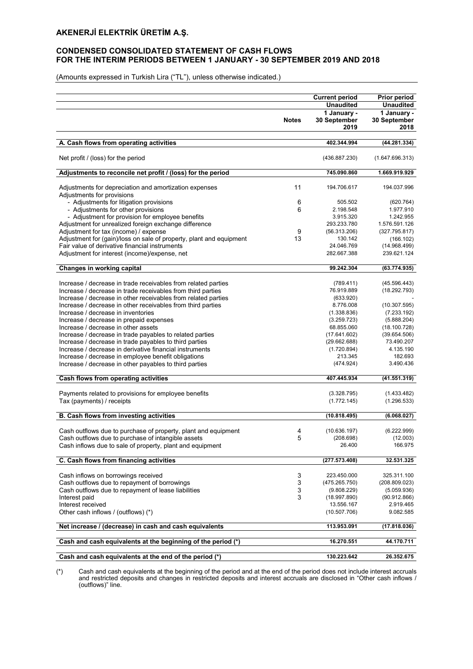# CONDENSED CONSOLIDATED STATEMENT OF CASH FLOWS FOR THE INTERIM PERIODS BETWEEN 1 JANUARY - 30 SEPTEMBER 2019 AND 2018

(Amounts expressed in Turkish Lira ("TL"), unless otherwise indicated.)

|                                                                                      |              | <b>Current period</b>           | Prior period                    |
|--------------------------------------------------------------------------------------|--------------|---------------------------------|---------------------------------|
|                                                                                      |              | <b>Unaudited</b><br>1 January - | <b>Unaudited</b><br>1 January - |
|                                                                                      | <b>Notes</b> | 30 September                    | 30 September                    |
|                                                                                      |              | 2019                            | 2018                            |
|                                                                                      |              |                                 |                                 |
| A. Cash flows from operating activities                                              |              | 402.344.994                     | (44.281.334)                    |
| Net profit / (loss) for the period                                                   |              | (436.887.230)                   | (1.647.696.313)                 |
| Adjustments to reconcile net profit / (loss) for the period                          |              | 745.090.860                     | 1.669.919.929                   |
| Adjustments for depreciation and amortization expenses<br>Adjustments for provisions | 11           | 194.706.617                     | 194.037.996                     |
| - Adjustments for litigation provisions                                              | 6            | 505.502                         | (620.764)                       |
| - Adjustments for other provisions                                                   | 6            | 2.198.548                       | 1.977.910                       |
| - Adjustment for provision for employee benefits                                     |              | 3.915.320                       | 1.242.955                       |
| Adjustment for unrealized foreign exchange difference                                |              | 293.233.780                     | 1.576.591.126                   |
| Adjustment for tax (income) / expense                                                | 9            | (56.313.206)                    | (327.795.817)                   |
| Adjustment for (gain)/loss on sale of property, plant and equipment                  | 13           | 130.142                         | (166.102)                       |
| Fair value of derivative financial instruments                                       |              | 24.046.769                      | (14.968.499)                    |
| Adjustment for interest (income)/expense, net                                        |              | 282.667.388                     | 239.621.124                     |
| Changes in working capital                                                           |              | 99.242.304                      | (63.774.935)                    |
| Increase / decrease in trade receivables from related parties                        |              | (789.411)                       | (45.596.443)                    |
| Increase / decrease in trade receivables from third parties                          |              | 76.919.889                      | (18.292.793)                    |
| Increase / decrease in other receivables from related parties                        |              | (633.920)                       |                                 |
| Increase / decrease in other receivables from third parties                          |              | 8.776.008                       | (10.307.595)                    |
| Increase / decrease in inventories                                                   |              | (1.338.836)                     | (7.233.192)                     |
| Increase / decrease in prepaid expenses                                              |              | (3.259.723)                     | (5.888.204)                     |
| Increase / decrease in other assets                                                  |              | 68.855.060                      | (18.100.728)                    |
| Increase / decrease in trade payables to related parties                             |              | (17.641.602)                    | (39.654.506)                    |
| Increase / decrease in trade payables to third parties                               |              | (29.662.688)                    | 73.490.207                      |
| Increase / decrease in derivative financial instruments                              |              | (1.720.894)                     | 4.135.190                       |
| Increase / decrease in employee benefit obligations                                  |              | 213.345                         | 182.693                         |
| Increase / decrease in other payables to third parties                               |              | (474.924)                       | 3.490.436                       |
| Cash flows from operating activities                                                 |              | 407.445.934                     | (41.551.319)                    |
|                                                                                      |              |                                 |                                 |
| Payments related to provisions for employee benefits                                 |              | (3.328.795)                     | (1.433.482)                     |
| Tax (payments) / receipts                                                            |              | (1.772.145)                     | (1.296.533)                     |
| B. Cash flows from investing activities                                              |              | (10.818.495)                    | (6.068.027)                     |
| Cash outflows due to purchase of property, plant and equipment                       | 4            | (10.636.197)                    | (6.222.999)                     |
| Cash outflows due to purchase of intangible assets                                   | 5            | (208.698)                       | (12.003)                        |
| Cash inflows due to sale of property, plant and equipment                            |              | 26.400                          | 166.975                         |
|                                                                                      |              |                                 |                                 |
| C. Cash flows from financing activities                                              |              | (277.573.408)                   | 32.531.325                      |
| Cash inflows on borrowings received                                                  | 3            | 223.450.000                     | 325.311.100                     |
| Cash outflows due to repayment of borrowings                                         | 3            | (475.265.750)                   | (208.809.023)                   |
| Cash outflows due to repayment of lease liabilities                                  | 3            | (9.808.229)                     | (5.059.936)                     |
| Interest paid                                                                        | 3            | (18.997.890)                    | (90.912.866)                    |
| Interest received                                                                    |              | 13.556.167                      | 2.919.465                       |
| Other cash inflows / (outflows) (*)                                                  |              | (10.507.706)                    | 9.082.585                       |
| Net increase / (decrease) in cash and cash equivalents                               |              | 113.953.091                     | (17.818.036)                    |
| Cash and cash equivalents at the beginning of the period (*)                         |              | 16.270.551                      | 44.170.711                      |
| Cash and cash equivalents at the end of the period (*)                               |              | 130.223.642                     | 26.352.675                      |
|                                                                                      |              |                                 |                                 |

(\*) Cash and cash equivalents at the beginning of the period and at the end of the period does not include interest accruals and restricted deposits and changes in restricted deposits and interest accruals are disclosed in "Other cash inflows / (outflows)" line.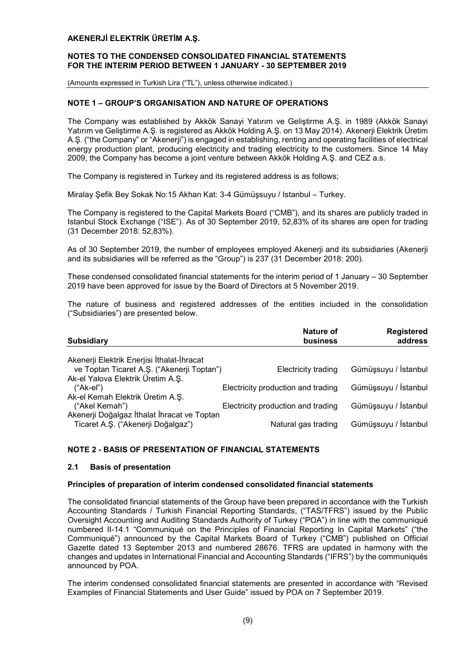#### NOTES TO THE CONDENSED CONSOLIDATED FINANCIAL STATEMENTS FOR THE INTERIM PERIOD BETWEEN 1 JANUARY - 30 SEPTEMBER 2019

(Amounts expressed in Turkish Lira ("TL"), unless otherwise indicated.)

# NOTE 1 – GROUP'S ORGANISATION AND NATURE OF OPERATIONS

The Company was established by Akkök Sanayi Yatırım ve Geliştirme A.Ş. in 1989 (Akkök Sanayi Yatırım ve Geliştirme A.Ş. is registered as Akkök Holding A.Ş. on 13 May 2014). Akenerji Elektrik Üretim A.Ş. ("the Company" or "Akenerji") is engaged in establishing, renting and operating facilities of electrical energy production plant, producing electricity and trading electricity to the customers. Since 14 May 2009, the Company has become a joint venture between Akkök Holding A.Ş. and CEZ a.s.

The Company is registered in Turkey and its registered address is as follows;

Miralay Şefik Bey Sokak No:15 Akhan Kat: 3-4 Gümüşsuyu / Istanbul – Turkey.

The Company is registered to the Capital Markets Board ("CMB"), and its shares are publicly traded in Istanbul Stock Exchange ("ISE"). As of 30 September 2019, 52,83% of its shares are open for trading (31 December 2018: 52,83%).

As of 30 September 2019, the number of employees employed Akenerji and its subsidiaries (Akenerji and its subsidiaries will be referred as the "Group") is 237 (31 December 2018: 200).

These condensed consolidated financial statements for the interim period of 1 January – 30 September 2019 have been approved for issue by the Board of Directors at 5 November 2019.

The nature of business and registered addresses of the entities included in the consolidation ("Subsidiaries") are presented below.

| <b>Nature of</b><br>business                                             | <b>Registered</b><br>address                              |
|--------------------------------------------------------------------------|-----------------------------------------------------------|
|                                                                          |                                                           |
| ve Toptan Ticaret A.Ş. ("Akenerji Toptan")<br><b>Electricity trading</b> | Gümüşsuyu / İstanbul                                      |
|                                                                          |                                                           |
| Electricity production and trading                                       | Gümüşsuyu / İstanbul                                      |
|                                                                          |                                                           |
|                                                                          | Gümüşsuyu / İstanbul                                      |
|                                                                          |                                                           |
|                                                                          | Gümüşsuyu / İstanbul                                      |
|                                                                          | Electricity production and trading<br>Natural gas trading |

# NOTE 2 - BASIS OF PRESENTATION OF FINANCIAL STATEMENTS

#### 2.1 Basis of presentation

#### Principles of preparation of interim condensed consolidated financial statements

The consolidated financial statements of the Group have been prepared in accordance with the Turkish Accounting Standards / Turkish Financial Reporting Standards, ("TAS/TFRS") issued by the Public Oversight Accounting and Auditing Standards Authority of Turkey ("POA") in line with the communiqué numbered II-14.1 "Communiqué on the Principles of Financial Reporting In Capital Markets" ("the Communiqué") announced by the Capital Markets Board of Turkey ("CMB") published on Official Gazette dated 13 September 2013 and numbered 28676. TFRS are updated in harmony with the changes and updates in International Financial and Accounting Standards ("IFRS") by the communiqués announced by POA.

The interim condensed consolidated financial statements are presented in accordance with "Revised Examples of Financial Statements and User Guide" issued by POA on 7 September 2019.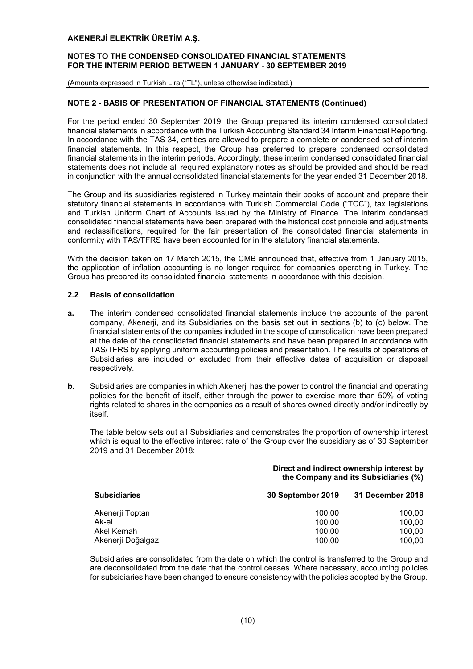#### NOTES TO THE CONDENSED CONSOLIDATED FINANCIAL STATEMENTS FOR THE INTERIM PERIOD BETWEEN 1 JANUARY - 30 SEPTEMBER 2019

(Amounts expressed in Turkish Lira ("TL"), unless otherwise indicated.)

# NOTE 2 - BASIS OF PRESENTATION OF FINANCIAL STATEMENTS (Continued)

For the period ended 30 September 2019, the Group prepared its interim condensed consolidated financial statements in accordance with the Turkish Accounting Standard 34 Interim Financial Reporting. In accordance with the TAS 34, entities are allowed to prepare a complete or condensed set of interim financial statements. In this respect, the Group has preferred to prepare condensed consolidated financial statements in the interim periods. Accordingly, these interim condensed consolidated financial statements does not include all required explanatory notes as should be provided and should be read in conjunction with the annual consolidated financial statements for the year ended 31 December 2018.

The Group and its subsidiaries registered in Turkey maintain their books of account and prepare their statutory financial statements in accordance with Turkish Commercial Code ("TCC"), tax legislations and Turkish Uniform Chart of Accounts issued by the Ministry of Finance. The interim condensed consolidated financial statements have been prepared with the historical cost principle and adjustments and reclassifications, required for the fair presentation of the consolidated financial statements in conformity with TAS/TFRS have been accounted for in the statutory financial statements.

With the decision taken on 17 March 2015, the CMB announced that, effective from 1 January 2015, the application of inflation accounting is no longer required for companies operating in Turkey. The Group has prepared its consolidated financial statements in accordance with this decision.

# 2.2 Basis of consolidation

- a. The interim condensed consolidated financial statements include the accounts of the parent company, Akenerji, and its Subsidiaries on the basis set out in sections (b) to (c) below. The financial statements of the companies included in the scope of consolidation have been prepared at the date of the consolidated financial statements and have been prepared in accordance with TAS/TFRS by applying uniform accounting policies and presentation. The results of operations of Subsidiaries are included or excluded from their effective dates of acquisition or disposal respectively.
- **b.** Subsidiaries are companies in which Akenerji has the power to control the financial and operating policies for the benefit of itself, either through the power to exercise more than 50% of voting rights related to shares in the companies as a result of shares owned directly and/or indirectly by itself.

The table below sets out all Subsidiaries and demonstrates the proportion of ownership interest which is equal to the effective interest rate of the Group over the subsidiary as of 30 September 2019 and 31 December 2018:

|                     | Direct and indirect ownership interest by<br>the Company and its Subsidiaries (%) |                  |  |  |  |
|---------------------|-----------------------------------------------------------------------------------|------------------|--|--|--|
| <b>Subsidiaries</b> | 30 September 2019                                                                 | 31 December 2018 |  |  |  |
| Akenerji Toptan     | 100.00                                                                            | 100.00           |  |  |  |
| Ak-el               | 100.00                                                                            | 100,00           |  |  |  |
| Akel Kemah          | 100,00                                                                            | 100,00           |  |  |  |
| Akenerji Doğalgaz   | 100.00                                                                            | 100.00           |  |  |  |

Subsidiaries are consolidated from the date on which the control is transferred to the Group and are deconsolidated from the date that the control ceases. Where necessary, accounting policies for subsidiaries have been changed to ensure consistency with the policies adopted by the Group.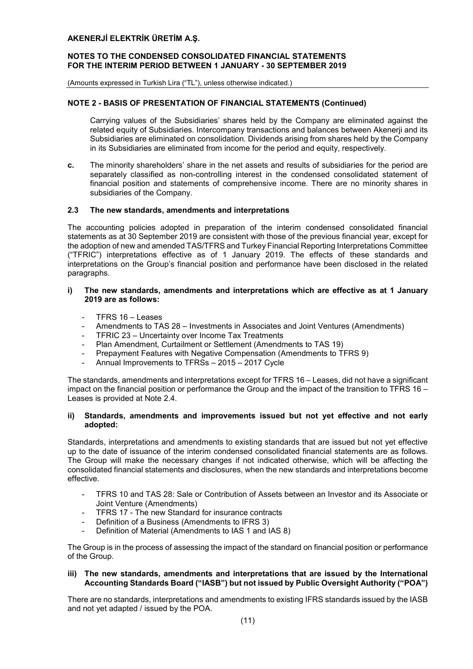## NOTES TO THE CONDENSED CONSOLIDATED FINANCIAL STATEMENTS FOR THE INTERIM PERIOD BETWEEN 1 JANUARY - 30 SEPTEMBER 2019

(Amounts expressed in Turkish Lira ("TL"), unless otherwise indicated.)

# NOTE 2 - BASIS OF PRESENTATION OF FINANCIAL STATEMENTS (Continued)

Carrying values of the Subsidiaries' shares held by the Company are eliminated against the related equity of Subsidiaries. Intercompany transactions and balances between Akenerji and its Subsidiaries are eliminated on consolidation. Dividends arising from shares held by the Company in its Subsidiaries are eliminated from income for the period and equity, respectively.

c. The minority shareholders' share in the net assets and results of subsidiaries for the period are separately classified as non-controlling interest in the condensed consolidated statement of financial position and statements of comprehensive income. There are no minority shares in subsidiaries of the Company.

#### 2.3 The new standards, amendments and interpretations

The accounting policies adopted in preparation of the interim condensed consolidated financial statements as at 30 September 2019 are consistent with those of the previous financial year, except for the adoption of new and amended TAS/TFRS and Turkey Financial Reporting Interpretations Committee ("TFRIC") interpretations effective as of 1 January 2019. The effects of these standards and interpretations on the Group's financial position and performance have been disclosed in the related paragraphs.

# i) The new standards, amendments and interpretations which are effective as at 1 January 2019 are as follows:

- TFRS 16 Leases
- Amendments to TAS 28 Investments in Associates and Joint Ventures (Amendments)
- TFRIC 23 Uncertainty over Income Tax Treatments
- Plan Amendment, Curtailment or Settlement (Amendments to TAS 19)
- Prepayment Features with Negative Compensation (Amendments to TFRS 9)
- Annual Improvements to TFRSs 2015 2017 Cycle

The standards, amendments and interpretations except for TFRS 16 – Leases, did not have a significant impact on the financial position or performance the Group and the impact of the transition to TFRS 16 – Leases is provided at Note 2.4.

# ii) Standards, amendments and improvements issued but not yet effective and not early adopted:

Standards, interpretations and amendments to existing standards that are issued but not yet effective up to the date of issuance of the interim condensed consolidated financial statements are as follows. The Group will make the necessary changes if not indicated otherwise, which will be affecting the consolidated financial statements and disclosures, when the new standards and interpretations become effective.

- TFRS 10 and TAS 28: Sale or Contribution of Assets between an Investor and its Associate or Joint Venture (Amendments)
- TFRS 17 The new Standard for insurance contracts
- Definition of a Business (Amendments to IFRS 3)
- Definition of Material (Amendments to IAS 1 and IAS 8)

The Group is in the process of assessing the impact of the standard on financial position or performance of the Group.

# iii) The new standards, amendments and interpretations that are issued by the International Accounting Standards Board ("IASB") but not issued by Public Oversight Authority ("POA")

There are no standards, interpretations and amendments to existing IFRS standards issued by the IASB and not yet adapted / issued by the POA.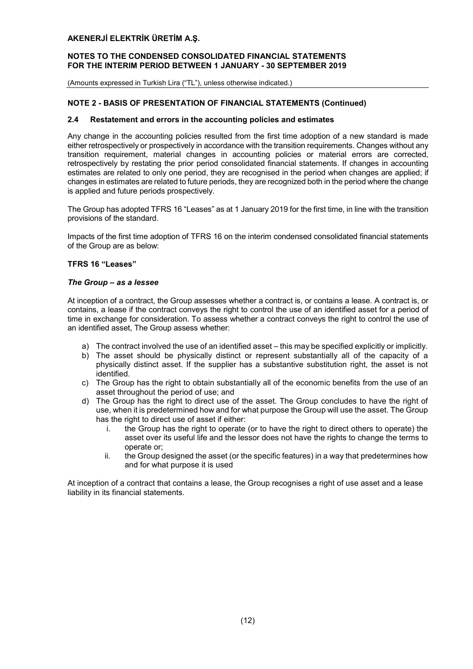# NOTES TO THE CONDENSED CONSOLIDATED FINANCIAL STATEMENTS FOR THE INTERIM PERIOD BETWEEN 1 JANUARY - 30 SEPTEMBER 2019

(Amounts expressed in Turkish Lira ("TL"), unless otherwise indicated.)

# NOTE 2 - BASIS OF PRESENTATION OF FINANCIAL STATEMENTS (Continued)

#### 2.4 Restatement and errors in the accounting policies and estimates

Any change in the accounting policies resulted from the first time adoption of a new standard is made either retrospectively or prospectively in accordance with the transition requirements. Changes without any transition requirement, material changes in accounting policies or material errors are corrected, retrospectively by restating the prior period consolidated financial statements. If changes in accounting estimates are related to only one period, they are recognised in the period when changes are applied; if changes in estimates are related to future periods, they are recognized both in the period where the change is applied and future periods prospectively.

The Group has adopted TFRS 16 "Leases" as at 1 January 2019 for the first time, in line with the transition provisions of the standard.

Impacts of the first time adoption of TFRS 16 on the interim condensed consolidated financial statements of the Group are as below:

#### TFRS 16 "Leases"

#### *The Group – as a lessee*

At inception of a contract, the Group assesses whether a contract is, or contains a lease. A contract is, or contains, a lease if the contract conveys the right to control the use of an identified asset for a period of time in exchange for consideration. To assess whether a contract conveys the right to control the use of an identified asset, The Group assess whether:

- a) The contract involved the use of an identified asset this may be specified explicitly or implicitly.
- b) The asset should be physically distinct or represent substantially all of the capacity of a physically distinct asset. If the supplier has a substantive substitution right, the asset is not identified.
- c) The Group has the right to obtain substantially all of the economic benefits from the use of an asset throughout the period of use; and
- d) The Group has the right to direct use of the asset. The Group concludes to have the right of use, when it is predetermined how and for what purpose the Group will use the asset. The Group has the right to direct use of asset if either:
	- i. the Group has the right to operate (or to have the right to direct others to operate) the asset over its useful life and the lessor does not have the rights to change the terms to operate or;
	- ii. the Group designed the asset (or the specific features) in a way that predetermines how and for what purpose it is used

At inception of a contract that contains a lease, the Group recognises a right of use asset and a lease liability in its financial statements.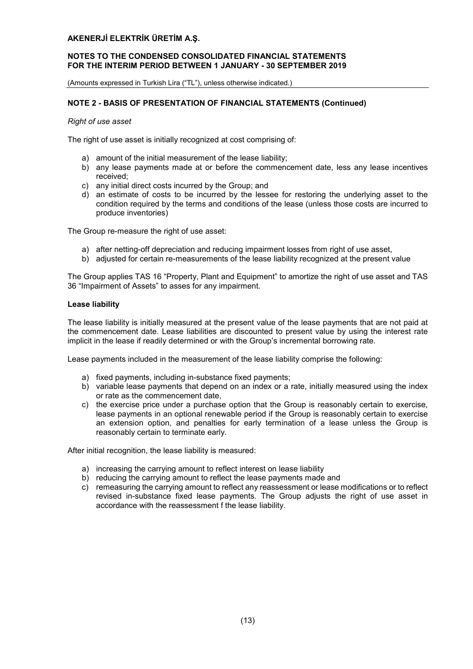# NOTES TO THE CONDENSED CONSOLIDATED FINANCIAL STATEMENTS FOR THE INTERIM PERIOD BETWEEN 1 JANUARY - 30 SEPTEMBER 2019

(Amounts expressed in Turkish Lira ("TL"), unless otherwise indicated.)

# NOTE 2 - BASIS OF PRESENTATION OF FINANCIAL STATEMENTS (Continued)

#### *Right of use asset*

The right of use asset is initially recognized at cost comprising of:

- a) amount of the initial measurement of the lease liability;
- b) any lease payments made at or before the commencement date, less any lease incentives received;
- c) any initial direct costs incurred by the Group; and
- d) an estimate of costs to be incurred by the lessee for restoring the underlying asset to the condition required by the terms and conditions of the lease (unless those costs are incurred to produce inventories)

The Group re-measure the right of use asset:

- a) after netting-off depreciation and reducing impairment losses from right of use asset,
- b) adjusted for certain re-measurements of the lease liability recognized at the present value

The Group applies TAS 16 "Property, Plant and Equipment" to amortize the right of use asset and TAS 36 "Impairment of Assets" to asses for any impairment.

#### Lease liability

The lease liability is initially measured at the present value of the lease payments that are not paid at the commencement date. Lease liabilities are discounted to present value by using the interest rate implicit in the lease if readily determined or with the Group's incremental borrowing rate.

Lease payments included in the measurement of the lease liability comprise the following:

- a) fixed payments, including in-substance fixed payments;
- b) variable lease payments that depend on an index or a rate, initially measured using the index or rate as the commencement date,
- c) the exercise price under a purchase option that the Group is reasonably certain to exercise, lease payments in an optional renewable period if the Group is reasonably certain to exercise an extension option, and penalties for early termination of a lease unless the Group is reasonably certain to terminate early.

After initial recognition, the lease liability is measured:

- a) increasing the carrying amount to reflect interest on lease liability
- b) reducing the carrying amount to reflect the lease payments made and
- c) remeasuring the carrying amount to reflect any reassessment or lease modifications or to reflect revised in-substance fixed lease payments. The Group adjusts the right of use asset in accordance with the reassessment f the lease liability.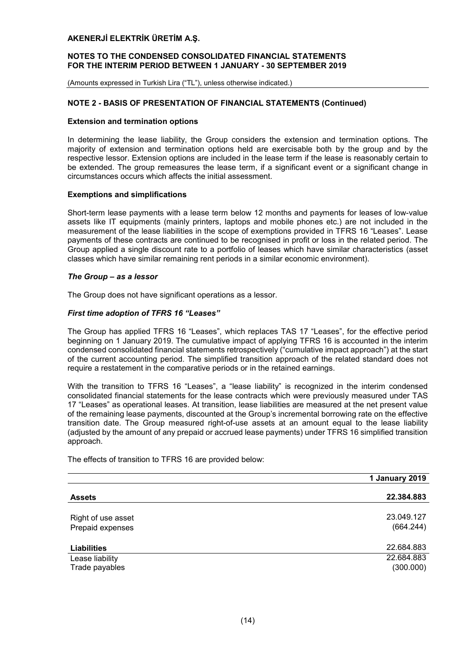#### NOTES TO THE CONDENSED CONSOLIDATED FINANCIAL STATEMENTS FOR THE INTERIM PERIOD BETWEEN 1 JANUARY - 30 SEPTEMBER 2019

(Amounts expressed in Turkish Lira ("TL"), unless otherwise indicated.)

# NOTE 2 - BASIS OF PRESENTATION OF FINANCIAL STATEMENTS (Continued)

#### Extension and termination options

In determining the lease liability, the Group considers the extension and termination options. The majority of extension and termination options held are exercisable both by the group and by the respective lessor. Extension options are included in the lease term if the lease is reasonably certain to be extended. The group remeasures the lease term, if a significant event or a significant change in circumstances occurs which affects the initial assessment.

#### Exemptions and simplifications

Short-term lease payments with a lease term below 12 months and payments for leases of low-value assets like IT equipments (mainly printers, laptops and mobile phones etc.) are not included in the measurement of the lease liabilities in the scope of exemptions provided in TFRS 16 "Leases". Lease payments of these contracts are continued to be recognised in profit or loss in the related period. The Group applied a single discount rate to a portfolio of leases which have similar characteristics (asset classes which have similar remaining rent periods in a similar economic environment).

#### *The Group – as a lessor*

The Group does not have significant operations as a lessor.

#### *First time adoption of TFRS 16 "Leases"*

The Group has applied TFRS 16 "Leases", which replaces TAS 17 "Leases", for the effective period beginning on 1 January 2019. The cumulative impact of applying TFRS 16 is accounted in the interim condensed consolidated financial statements retrospectively ("cumulative impact approach") at the start of the current accounting period. The simplified transition approach of the related standard does not require a restatement in the comparative periods or in the retained earnings.

With the transition to TFRS 16 "Leases", a "lease liability" is recognized in the interim condensed consolidated financial statements for the lease contracts which were previously measured under TAS 17 "Leases" as operational leases. At transition, lease liabilities are measured at the net present value of the remaining lease payments, discounted at the Group's incremental borrowing rate on the effective transition date. The Group measured right-of-use assets at an amount equal to the lease liability (adjusted by the amount of any prepaid or accrued lease payments) under TFRS 16 simplified transition approach.

The effects of transition to TFRS 16 are provided below:

|                                        | 1 January 2019          |
|----------------------------------------|-------------------------|
| <b>Assets</b>                          | 22.384.883              |
| Right of use asset<br>Prepaid expenses | 23.049.127<br>(664.244) |
| <b>Liabilities</b>                     | 22.684.883              |
| Lease liability<br>Trade payables      | 22.684.883<br>(300.000) |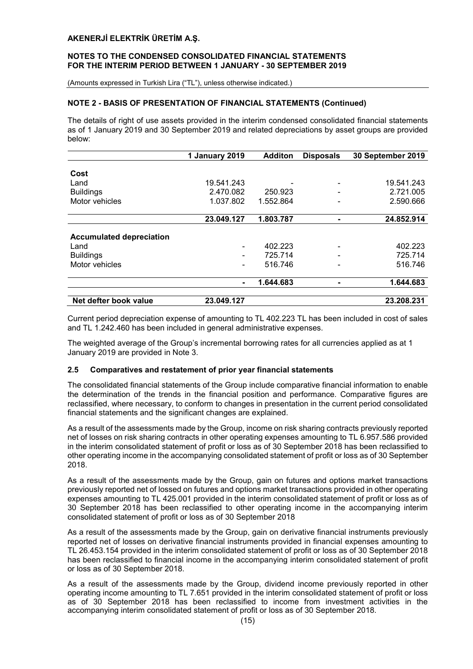#### NOTES TO THE CONDENSED CONSOLIDATED FINANCIAL STATEMENTS FOR THE INTERIM PERIOD BETWEEN 1 JANUARY - 30 SEPTEMBER 2019

(Amounts expressed in Turkish Lira ("TL"), unless otherwise indicated.)

# NOTE 2 - BASIS OF PRESENTATION OF FINANCIAL STATEMENTS (Continued)

The details of right of use assets provided in the interim condensed consolidated financial statements as of 1 January 2019 and 30 September 2019 and related depreciations by asset groups are provided below:

|                                 | 1 January 2019           | <b>Additon</b> | <b>Disposals</b> | 30 September 2019 |
|---------------------------------|--------------------------|----------------|------------------|-------------------|
|                                 |                          |                |                  |                   |
| Cost                            |                          |                |                  |                   |
| Land                            | 19.541.243               |                |                  | 19.541.243        |
| <b>Buildings</b>                | 2.470.082                | 250.923        |                  | 2.721.005         |
| Motor vehicles                  | 1.037.802                | 1.552.864      |                  | 2.590.666         |
|                                 | 23.049.127               | 1.803.787      |                  | 24.852.914        |
| <b>Accumulated depreciation</b> |                          |                |                  |                   |
| Land                            | -                        | 402.223        |                  | 402.223           |
| <b>Buildings</b>                | -                        | 725.714        |                  | 725.714           |
| Motor vehicles                  | $\overline{\phantom{0}}$ | 516.746        |                  | 516.746           |
|                                 | $\blacksquare$           | 1.644.683      | ۰                | 1.644.683         |
|                                 |                          |                |                  |                   |
| Net defter book value           | 23.049.127               |                |                  | 23.208.231        |

Current period depreciation expense of amounting to TL 402.223 TL has been included in cost of sales and TL 1.242.460 has been included in general administrative expenses.

The weighted average of the Group's incremental borrowing rates for all currencies applied as at 1 January 2019 are provided in Note 3.

#### 2.5 Comparatives and restatement of prior year financial statements

The consolidated financial statements of the Group include comparative financial information to enable the determination of the trends in the financial position and performance. Comparative figures are reclassified, where necessary, to conform to changes in presentation in the current period consolidated financial statements and the significant changes are explained.

As a result of the assessments made by the Group, income on risk sharing contracts previously reported net of losses on risk sharing contracts in other operating expenses amounting to TL 6.957.586 provided in the interim consolidated statement of profit or loss as of 30 September 2018 has been reclassified to other operating income in the accompanying consolidated statement of profit or loss as of 30 September 2018.

As a result of the assessments made by the Group, gain on futures and options market transactions previously reported net of lossed on futures and options market transactions provided in other operating expenses amounting to TL 425.001 provided in the interim consolidated statement of profit or loss as of 30 September 2018 has been reclassified to other operating income in the accompanying interim consolidated statement of profit or loss as of 30 September 2018

As a result of the assessments made by the Group, gain on derivative financial instruments previously reported net of losses on derivative financial instruments provided in financial expenses amounting to TL 26.453.154 provided in the interim consolidated statement of profit or loss as of 30 September 2018 has been reclassified to financial income in the accompanying interim consolidated statement of profit or loss as of 30 September 2018.

As a result of the assessments made by the Group, dividend income previously reported in other operating income amounting to TL 7.651 provided in the interim consolidated statement of profit or loss as of 30 September 2018 has been reclassified to income from investment activities in the accompanying interim consolidated statement of profit or loss as of 30 September 2018.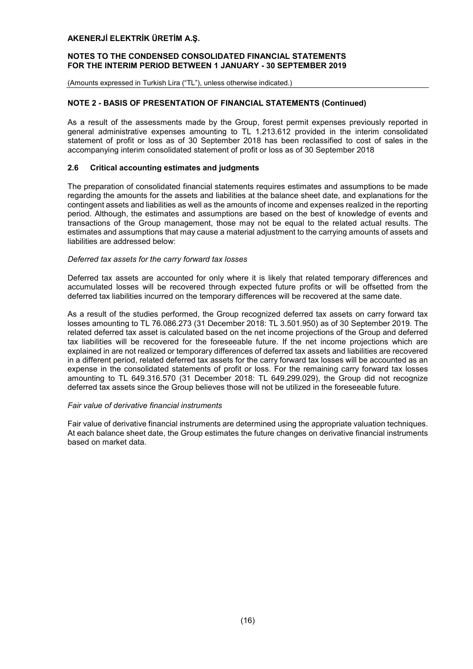#### NOTES TO THE CONDENSED CONSOLIDATED FINANCIAL STATEMENTS FOR THE INTERIM PERIOD BETWEEN 1 JANUARY - 30 SEPTEMBER 2019

(Amounts expressed in Turkish Lira ("TL"), unless otherwise indicated.)

# NOTE 2 - BASIS OF PRESENTATION OF FINANCIAL STATEMENTS (Continued)

As a result of the assessments made by the Group, forest permit expenses previously reported in general administrative expenses amounting to TL 1.213.612 provided in the interim consolidated statement of profit or loss as of 30 September 2018 has been reclassified to cost of sales in the accompanying interim consolidated statement of profit or loss as of 30 September 2018

#### 2.6 Critical accounting estimates and judgments

The preparation of consolidated financial statements requires estimates and assumptions to be made regarding the amounts for the assets and liabilities at the balance sheet date, and explanations for the contingent assets and liabilities as well as the amounts of income and expenses realized in the reporting period. Although, the estimates and assumptions are based on the best of knowledge of events and transactions of the Group management, those may not be equal to the related actual results. The estimates and assumptions that may cause a material adjustment to the carrying amounts of assets and liabilities are addressed below:

#### *Deferred tax assets for the carry forward tax losses*

Deferred tax assets are accounted for only where it is likely that related temporary differences and accumulated losses will be recovered through expected future profits or will be offsetted from the deferred tax liabilities incurred on the temporary differences will be recovered at the same date.

As a result of the studies performed, the Group recognized deferred tax assets on carry forward tax losses amounting to TL 76.086.273 (31 December 2018: TL 3.501.950) as of 30 September 2019. The related deferred tax asset is calculated based on the net income projections of the Group and deferred tax liabilities will be recovered for the foreseeable future. If the net income projections which are explained in are not realized or temporary differences of deferred tax assets and liabilities are recovered in a different period, related deferred tax assets for the carry forward tax losses will be accounted as an expense in the consolidated statements of profit or loss. For the remaining carry forward tax losses amounting to TL 649.316.570 (31 December 2018: TL 649.299.029), the Group did not recognize deferred tax assets since the Group believes those will not be utilized in the foreseeable future.

#### *Fair value of derivative financial instruments*

Fair value of derivative financial instruments are determined using the appropriate valuation techniques. At each balance sheet date, the Group estimates the future changes on derivative financial instruments based on market data.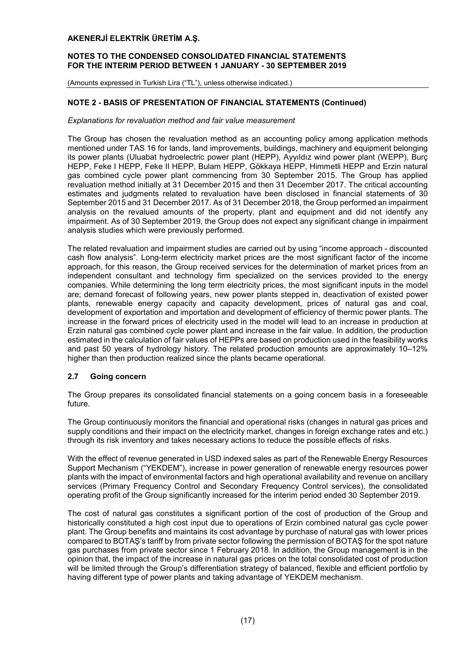## NOTES TO THE CONDENSED CONSOLIDATED FINANCIAL STATEMENTS FOR THE INTERIM PERIOD BETWEEN 1 JANUARY - 30 SEPTEMBER 2019

(Amounts expressed in Turkish Lira ("TL"), unless otherwise indicated.)

# NOTE 2 - BASIS OF PRESENTATION OF FINANCIAL STATEMENTS (Continued)

#### *Explanations for revaluation method and fair value measurement*

The Group has chosen the revaluation method as an accounting policy among application methods mentioned under TAS 16 for lands, land improvements, buildings, machinery and equipment belonging its power plants (Uluabat hydroelectric power plant (HEPP), Ayyıldız wind power plant (WEPP), Burç HEPP, Feke I HEPP, Feke II HEPP, Bulam HEPP, Gökkaya HEPP, Himmetli HEPP and Erzin natural gas combined cycle power plant commencing from 30 September 2015. The Group has applied revaluation method initially at 31 December 2015 and then 31 December 2017. The critical accounting estimates and judgments related to revaluation have been disclosed in financial statements of 30 September 2015 and 31 December 2017. As of 31 December 2018, the Group performed an impairment analysis on the revalued amounts of the property, plant and equipment and did not identify any impairment. As of 30 September 2019, the Group does not expect any significant change in impairment analysis studies which were previously performed.

The related revaluation and impairment studies are carried out by using "income approach - discounted cash flow analysis". Long-term electricity market prices are the most significant factor of the income approach, for this reason, the Group received services for the determination of market prices from an independent consultant and technology firm specialized on the services provided to the energy companies. While determining the long term electricity prices, the most significant inputs in the model are; demand forecast of following years, new power plants stepped in, deactivation of existed power plants, renewable energy capacity and capacity development, prices of natural gas and coal, development of exportation and importation and development of efficiency of thermic power plants. The increase in the forward prices of electricity used in the model will lead to an increase in production at Erzin natural gas combined cycle power plant and increase in the fair value. In addition, the production estimated in the calculation of fair values of HEPPs are based on production used in the feasibility works and past 50 years of hydrology history. The related production amounts are approximately 10–12% higher than then production realized since the plants became operational.

# 2.7 Going concern

The Group prepares its consolidated financial statements on a going concern basis in a foreseeable future.

The Group continuously monitors the financial and operational risks (changes in natural gas prices and supply conditions and their impact on the electricity market, changes in foreign exchange rates and etc.) through its risk inventory and takes necessary actions to reduce the possible effects of risks.

With the effect of revenue generated in USD indexed sales as part of the Renewable Energy Resources Support Mechanism ("YEKDEM"), increase in power generation of renewable energy resources power plants with the impact of environmental factors and high operational availability and revenue on ancillary services (Primary Frequency Control and Secondary Frequency Control services), the consolidated operating profit of the Group significantly increased for the interim period ended 30 September 2019.

The cost of natural gas constitutes a significant portion of the cost of production of the Group and historically constituted a high cost input due to operations of Erzin combined natural gas cycle power plant. The Group benefits and maintains its cost advantage by purchase of natural gas with lower prices compared to BOTAŞ's tariff by from private sector following the permission of BOTAŞ for the spot nature gas purchases from private sector since 1 February 2018. In addition, the Group management is in the opinion that, the impact of the increase in natural gas prices on the total consolidated cost of production will be limited through the Group's differentiation strategy of balanced, flexible and efficient portfolio by having different type of power plants and taking advantage of YEKDEM mechanism.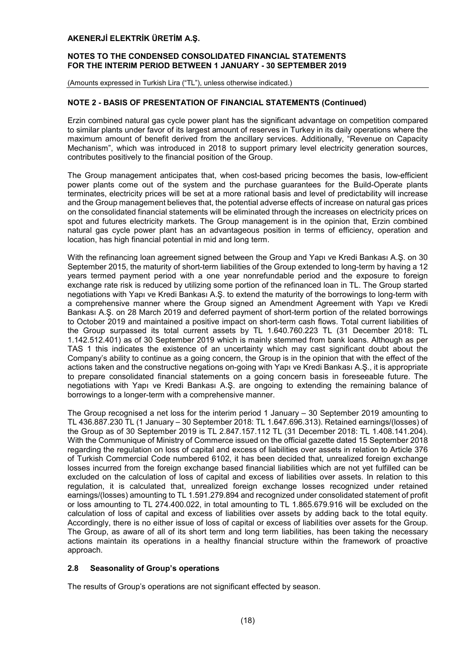#### NOTES TO THE CONDENSED CONSOLIDATED FINANCIAL STATEMENTS FOR THE INTERIM PERIOD BETWEEN 1 JANUARY - 30 SEPTEMBER 2019

(Amounts expressed in Turkish Lira ("TL"), unless otherwise indicated.)

#### NOTE 2 - BASIS OF PRESENTATION OF FINANCIAL STATEMENTS (Continued)

Erzin combined natural gas cycle power plant has the significant advantage on competition compared to similar plants under favor of its largest amount of reserves in Turkey in its daily operations where the maximum amount of benefit derived from the ancillary services. Additionally, "Revenue on Capacity Mechanism", which was introduced in 2018 to support primary level electricity generation sources, contributes positively to the financial position of the Group.

The Group management anticipates that, when cost-based pricing becomes the basis, low-efficient power plants come out of the system and the purchase guarantees for the Build-Operate plants terminates, electricity prices will be set at a more rational basis and level of predictability will increase and the Group management believes that, the potential adverse effects of increase on natural gas prices on the consolidated financial statements will be eliminated through the increases on electricity prices on spot and futures electricity markets. The Group management is in the opinion that, Erzin combined natural gas cycle power plant has an advantageous position in terms of efficiency, operation and location, has high financial potential in mid and long term.

With the refinancing loan agreement signed between the Group and Yapı ve Kredi Bankası A.Ş. on 30 September 2015, the maturity of short-term liabilities of the Group extended to long-term by having a 12 years termed payment period with a one year nonrefundable period and the exposure to foreign exchange rate risk is reduced by utilizing some portion of the refinanced loan in TL. The Group started negotiations with Yapı ve Kredi Bankası A.Ş. to extend the maturity of the borrowings to long-term with a comprehensive manner where the Group signed an Amendment Agreement with Yapı ve Kredi Bankası A.Ş. on 28 March 2019 and deferred payment of short-term portion of the related borrowings to October 2019 and maintained a positive impact on short-term cash flows. Total current liabilities of the Group surpassed its total current assets by TL 1.640.760.223 TL (31 December 2018: TL 1.142.512.401) as of 30 September 2019 which is mainly stemmed from bank loans. Although as per TAS 1 this indicates the existence of an uncertainty which may cast significant doubt about the Company's ability to continue as a going concern, the Group is in the opinion that with the effect of the actions taken and the constructive negations on-going with Yapı ve Kredi Bankası A.Ş., it is appropriate to prepare consolidated financial statements on a going concern basis in foreseeable future. The negotiations with Yapı ve Kredi Bankası A.Ş. are ongoing to extending the remaining balance of borrowings to a longer-term with a comprehensive manner.

The Group recognised a net loss for the interim period 1 January – 30 September 2019 amounting to TL 436.887.230 TL (1 January – 30 September 2018: TL 1.647.696.313). Retained earnings/(losses) of the Group as of 30 September 2019 is TL 2.847.157.112 TL (31 December 2018: TL 1.408.141.204). With the Communique of Ministry of Commerce issued on the official gazette dated 15 September 2018 regarding the regulation on loss of capital and excess of liabilities over assets in relation to Article 376 of Turkish Commercial Code numbered 6102, it has been decided that, unrealized foreign exchange losses incurred from the foreign exchange based financial liabilities which are not yet fulfilled can be excluded on the calculation of loss of capital and excess of liabilities over assets. In relation to this regulation, it is calculated that, unrealized foreign exchange losses recognized under retained earnings/(losses) amounting to TL 1.591.279.894 and recognized under consolidated statement of profit or loss amounting to TL 274.400.022, in total amounting to TL 1.865.679.916 will be excluded on the calculation of loss of capital and excess of liabilities over assets by adding back to the total equity. Accordingly, there is no either issue of loss of capital or excess of liabilities over assets for the Group. The Group, as aware of all of its short term and long term liabilities, has been taking the necessary actions maintain its operations in a healthy financial structure within the framework of proactive approach.

#### 2.8 Seasonality of Group's operations

The results of Group's operations are not significant effected by season.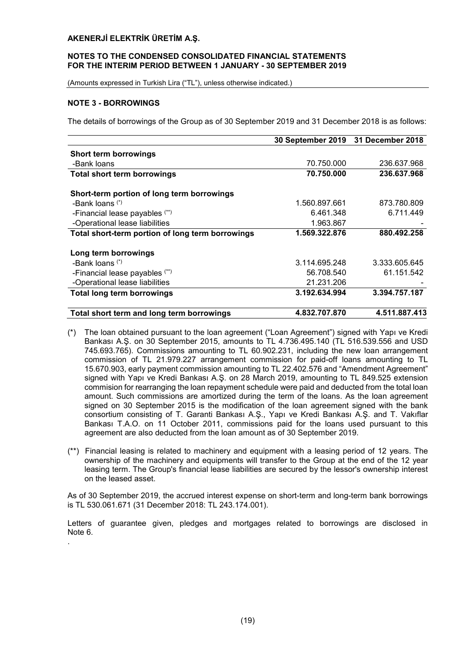#### NOTES TO THE CONDENSED CONSOLIDATED FINANCIAL STATEMENTS FOR THE INTERIM PERIOD BETWEEN 1 JANUARY - 30 SEPTEMBER 2019

(Amounts expressed in Turkish Lira ("TL"), unless otherwise indicated.)

# NOTE 3 - BORROWINGS

.

The details of borrowings of the Group as of 30 September 2019 and 31 December 2018 is as follows:

|                                                  |               | 30 September 2019 31 December 2018 |
|--------------------------------------------------|---------------|------------------------------------|
| Short term borrowings                            |               |                                    |
| -Bank loans                                      | 70.750.000    | 236.637.968                        |
| <b>Total short term borrowings</b>               | 70.750.000    | 236.637.968                        |
| Short-term portion of long term borrowings       |               |                                    |
| -Bank loans (*)                                  | 1.560.897.661 | 873.780.809                        |
| -Financial lease payables (**)                   | 6.461.348     | 6.711.449                          |
| -Operational lease liabilities                   | 1.963.867     |                                    |
| Total short-term portion of long term borrowings | 1.569.322.876 | 880.492.258                        |
| Long term borrowings                             |               |                                    |
| -Bank loans $(*)$                                | 3.114.695.248 | 3.333.605.645                      |
| -Financial lease payables (**)                   | 56.708.540    | 61.151.542                         |
| -Operational lease liabilities                   | 21.231.206    |                                    |
| <b>Total long term borrowings</b>                | 3.192.634.994 | 3.394.757.187                      |
| Total short term and long term borrowings        | 4.832.707.870 | 4.511.887.413                      |

- (\*) The loan obtained pursuant to the loan agreement ("Loan Agreement") signed with Yapı ve Kredi Bankası A.Ş. on 30 September 2015, amounts to TL 4.736.495.140 (TL 516.539.556 and USD 745.693.765). Commissions amounting to TL 60.902.231, including the new loan arrangement commission of TL 21.979.227 arrangement commission for paid-off loans amounting to TL 15.670.903, early payment commission amounting to TL 22.402.576 and "Amendment Agreement" signed with Yapı ve Kredi Bankası A.Ş. on 28 March 2019, amounting to TL 849.525 extension commision for rearranging the loan repayment schedule were paid and deducted from the total loan amount. Such commissions are amortized during the term of the loans. As the loan agreement signed on 30 September 2015 is the modification of the loan agreement signed with the bank consortium consisting of T. Garanti Bankası A.Ş., Yapı ve Kredi Bankası A.Ş. and T. Vakıflar Bankası T.A.O. on 11 October 2011, commissions paid for the loans used pursuant to this agreement are also deducted from the loan amount as of 30 September 2019.
- (\*\*) Financial leasing is related to machinery and equipment with a leasing period of 12 years. The ownership of the machinery and equipments will transfer to the Group at the end of the 12 year leasing term. The Group's financial lease liabilities are secured by the lessor's ownership interest on the leased asset.

As of 30 September 2019, the accrued interest expense on short-term and long-term bank borrowings is TL 530.061.671 (31 December 2018: TL 243.174.001).

Letters of guarantee given, pledges and mortgages related to borrowings are disclosed in Note 6.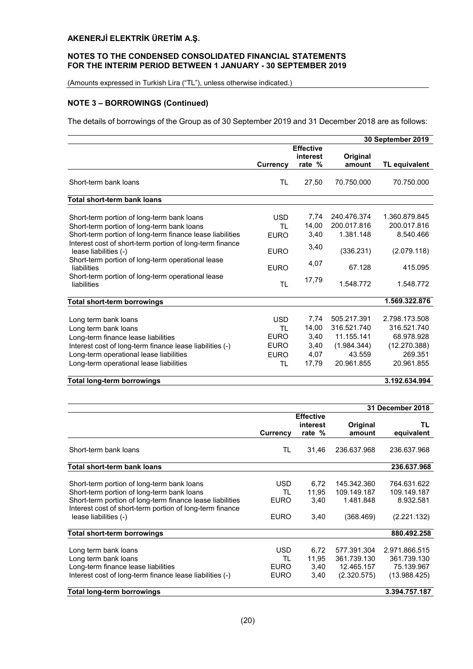## NOTES TO THE CONDENSED CONSOLIDATED FINANCIAL STATEMENTS FOR THE INTERIM PERIOD BETWEEN 1 JANUARY - 30 SEPTEMBER 2019

(Amounts expressed in Turkish Lira ("TL"), unless otherwise indicated.)

# NOTE 3 – BORROWINGS (Continued)

The details of borrowings of the Group as of 30 September 2019 and 31 December 2018 are as follows:

|                                                                                                                                                                                                                                            |                                                                      |                                                |                                                                                 | 30 September 2019                                                                   |
|--------------------------------------------------------------------------------------------------------------------------------------------------------------------------------------------------------------------------------------------|----------------------------------------------------------------------|------------------------------------------------|---------------------------------------------------------------------------------|-------------------------------------------------------------------------------------|
|                                                                                                                                                                                                                                            | Currency                                                             | <b>Effective</b><br>interest<br>rate %         | Original<br>amount                                                              | TL equivalent                                                                       |
| Short-term bank loans                                                                                                                                                                                                                      | TL                                                                   | 27,50                                          | 70.750.000                                                                      | 70.750.000                                                                          |
| Total short-term bank loans                                                                                                                                                                                                                |                                                                      |                                                |                                                                                 |                                                                                     |
| Short-term portion of long-term bank loans<br>Short-term portion of long-term bank loans<br>Short-term portion of long-term finance lease liabilities<br>Interest cost of short-term portion of long-term finance<br>lease liabilities (-) | <b>USD</b><br>ΤL<br><b>EURO</b><br><b>EURO</b>                       | 7,74<br>14,00<br>3,40<br>3,40                  | 240.476.374<br>200.017.816<br>1.381.148<br>(336.231)                            | 1.360.879.845<br>200.017.816<br>8.540.466<br>(2.079.118)                            |
| Short-term portion of long-term operational lease<br>liabilities                                                                                                                                                                           | <b>FURO</b>                                                          | 4,07                                           | 67.128                                                                          | 415.095                                                                             |
| Short-term portion of long-term operational lease<br>liabilities                                                                                                                                                                           | TL                                                                   | 17,79                                          | 1.548.772                                                                       | 1.548.772                                                                           |
| <b>Total short-term borrowings</b>                                                                                                                                                                                                         |                                                                      |                                                |                                                                                 | 1.569.322.876                                                                       |
| Long term bank loans<br>Long term bank loans<br>Long-term finance lease liabilities<br>Interest cost of long-term finance lease liabilities (-)<br>Long-term operational lease liabilities<br>Long-term operational lease liabilities      | <b>USD</b><br>TI.<br><b>EURO</b><br><b>EURO</b><br><b>EURO</b><br>TL | 7,74<br>14,00<br>3,40<br>3,40<br>4,07<br>17,79 | 505.217.391<br>316.521.740<br>11.155.141<br>(1.984.344)<br>43.559<br>20.961.855 | 2.798.173.508<br>316.521.740<br>68.978.928<br>(12.270.388)<br>269.351<br>20.961.855 |

#### Total long-term borrowings 3.192.634.994

31 December 2018 **Currency Effective** interest rate % **Original** amount TL equivalent Short-term bank loans TL 31,46 236.637.968 236.637.968 Total short-term bank loans 236.637.968 Short-term portion of long-term bank loans <br>Short-term portion of long-term bank loans TL 11,95 109.149.187 109.149.187 Short-term portion of long-term bank loans<br>
Short-term portion of long-term finance lease liabilities EURO 3.40 1.481.848 8.932.581 Short-term portion of long-term finance lease liabilities Interest cost of short-term portion of long-term finance lease liabilities (-) EURO 3,40 (368.469) (2.221.132) Total short-term borrowings 880.492.258 Long term bank loans USD 6,72 577.391.304 2.971.866.515 Long term bank loans TL 11,95 361.739.130 361.739.130 Long-term finance lease liabilities and the EURO 3,40 12.465.157 75.139.967 Interest cost of long-term finance lease liabilities (-) EURO 3,40 (2.320.575) (13.988.425) Total long-term borrowings 3.394.757.187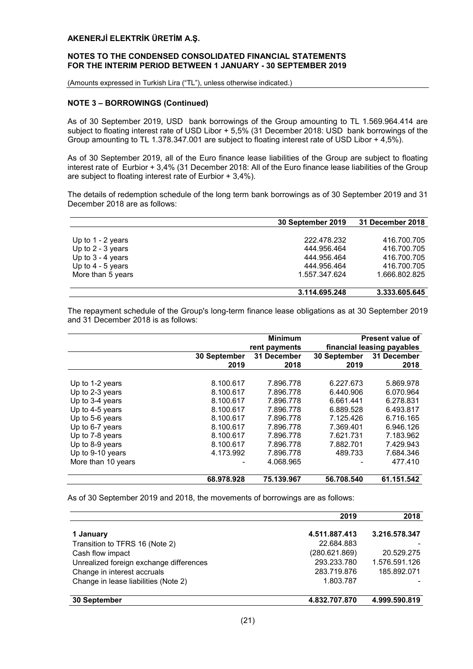#### NOTES TO THE CONDENSED CONSOLIDATED FINANCIAL STATEMENTS FOR THE INTERIM PERIOD BETWEEN 1 JANUARY - 30 SEPTEMBER 2019

(Amounts expressed in Turkish Lira ("TL"), unless otherwise indicated.)

# NOTE 3 – BORROWINGS (Continued)

As of 30 September 2019, USD bank borrowings of the Group amounting to TL 1.569.964.414 are subject to floating interest rate of USD Libor + 5,5% (31 December 2018: USD bank borrowings of the Group amounting to TL 1.378.347.001 are subject to floating interest rate of USD Libor + 4,5%).

As of 30 September 2019, all of the Euro finance lease liabilities of the Group are subject to floating interest rate of Eurbior + 3,4% (31 December 2018: All of the Euro finance lease liabilities of the Group are subject to floating interest rate of Eurbior + 3,4%).

The details of redemption schedule of the long term bank borrowings as of 30 September 2019 and 31 December 2018 are as follows:

|                     | 30 September 2019 | 31 December 2018 |
|---------------------|-------------------|------------------|
|                     |                   |                  |
| Up to $1 - 2$ years | 222.478.232       | 416.700.705      |
| Up to $2 - 3$ years | 444.956.464       | 416.700.705      |
| Up to $3 - 4$ years | 444.956.464       | 416.700.705      |
| Up to $4 - 5$ years | 444.956.464       | 416.700.705      |
| More than 5 years   | 1.557.347.624     | 1.666.802.825    |
|                     |                   |                  |
|                     | 3.114.695.248     | 3.333.605.645    |

The repayment schedule of the Group's long-term finance lease obligations as at 30 September 2019 and 31 December 2018 is as follows:

|                    |              | <b>Minimum</b> |              | <b>Present value of</b>    |
|--------------------|--------------|----------------|--------------|----------------------------|
|                    |              | rent payments  |              | financial leasing payables |
|                    | 30 September | 31 December    | 30 September | 31 December                |
|                    | 2019         | 2018           | 2019         | 2018                       |
|                    |              |                |              |                            |
| Up to 1-2 years    | 8.100.617    | 7.896.778      | 6.227.673    | 5.869.978                  |
| Up to 2-3 years    | 8.100.617    | 7.896.778      | 6.440.906    | 6.070.964                  |
| Up to 3-4 years    | 8.100.617    | 7.896.778      | 6.661.441    | 6.278.831                  |
| Up to 4-5 years    | 8.100.617    | 7.896.778      | 6.889.528    | 6.493.817                  |
| Up to 5-6 years    | 8.100.617    | 7.896.778      | 7.125.426    | 6.716.165                  |
| Up to 6-7 years    | 8.100.617    | 7.896.778      | 7.369.401    | 6.946.126                  |
| Up to 7-8 years    | 8.100.617    | 7.896.778      | 7.621.731    | 7.183.962                  |
| Up to 8-9 years    | 8.100.617    | 7.896.778      | 7.882.701    | 7.429.943                  |
| Up to 9-10 years   | 4.173.992    | 7.896.778      | 489.733      | 7.684.346                  |
| More than 10 years |              | 4.068.965      |              | 477.410                    |
|                    | 68.978.928   | 75.139.967     | 56.708.540   | 61.151.542                 |

As of 30 September 2019 and 2018, the movements of borrowings are as follows:

|                                         | 2019          | 2018          |
|-----------------------------------------|---------------|---------------|
| 1 January                               | 4.511.887.413 | 3.216.578.347 |
| Transition to TFRS 16 (Note 2)          | 22.684.883    |               |
| Cash flow impact                        | (280.621.869) | 20.529.275    |
| Unrealized foreign exchange differences | 293.233.780   | 1.576.591.126 |
| Change in interest accruals             | 283.719.876   | 185.892.071   |
| Change in lease liabilities (Note 2)    | 1.803.787     |               |
| 30 September                            | 4.832.707.870 | 4.999.590.819 |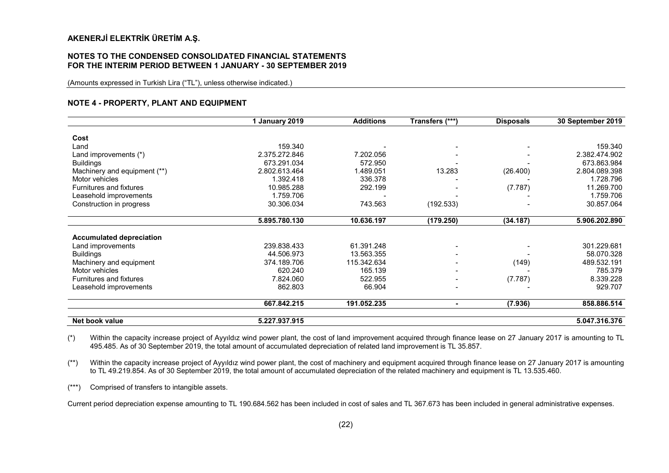#### NOTES TO THE CONDENSED CONSOLIDATED FINANCIAL STATEMENTS FOR THE INTERIM PERIOD BETWEEN 1 JANUARY - 30 SEPTEMBER 2019

(Amounts expressed in Turkish Lira ("TL"), unless otherwise indicated.)

#### NOTE 4 - PROPERTY, PLANT AND EQUIPMENT

|                                 | 1 January 2019 | <b>Additions</b> | Transfers (***)          | <b>Disposals</b> | 30 September 2019 |
|---------------------------------|----------------|------------------|--------------------------|------------------|-------------------|
| Cost                            |                |                  |                          |                  |                   |
| Land                            | 159.340        |                  |                          |                  | 159.340           |
| Land improvements (*)           | 2.375.272.846  | 7.202.056        |                          |                  | 2.382.474.902     |
| <b>Buildings</b>                | 673.291.034    | 572.950          |                          |                  | 673.863.984       |
| Machinery and equipment (**)    | 2.802.613.464  | 1.489.051        | 13.283                   | (26.400)         | 2.804.089.398     |
| Motor vehicles                  | 1.392.418      | 336.378          |                          |                  | 1.728.796         |
| <b>Furnitures and fixtures</b>  | 10.985.288     | 292.199          |                          | (7.787)          | 11.269.700        |
| Leasehold improvements          | 1.759.706      |                  |                          |                  | 1.759.706         |
| Construction in progress        | 30.306.034     | 743.563          | (192.533)                |                  | 30.857.064        |
|                                 | 5.895.780.130  | 10.636.197       | (179.250)                | (34.187)         | 5.906.202.890     |
| <b>Accumulated depreciation</b> |                |                  |                          |                  |                   |
| Land improvements               | 239.838.433    | 61.391.248       | $\overline{\phantom{a}}$ |                  | 301.229.681       |
| <b>Buildings</b>                | 44.506.973     | 13.563.355       |                          |                  | 58.070.328        |
| Machinery and equipment         | 374.189.706    | 115.342.634      |                          | (149)            | 489.532.191       |
| Motor vehicles                  | 620.240        | 165.139          |                          |                  | 785.379           |
| Furnitures and fixtures         | 7.824.060      | 522.955          | $\,$                     | (7.787)          | 8.339.228         |
| Leasehold improvements          | 862.803        | 66.904           | $\overline{\phantom{a}}$ |                  | 929.707           |
|                                 | 667.842.215    | 191.052.235      | $\blacksquare$           | (7.936)          | 858.886.514       |
| Net book value                  | 5.227.937.915  |                  |                          |                  | 5.047.316.376     |

(\*) Within the capacity increase project of Ayyıldız wind power plant, the cost of land improvement acquired through finance lease on 27 January 2017 is amounting to TL 495.485. As of 30 September 2019, the total amount of accumulated depreciation of related land improvement is TL 35.857.

(\*\*) Within the capacity increase project of Ayyıldız wind power plant, the cost of machinery and equipment acquired through finance lease on 27 January 2017 is amounting to TL 49.219.854. As of 30 September 2019, the total amount of accumulated depreciation of the related machinery and equipment is TL 13.535.460.

(\*\*\*) Comprised of transfers to intangible assets.

Current period depreciation expense amounting to TL 190.684.562 has been included in cost of sales and TL 367.673 has been included in general administrative expenses.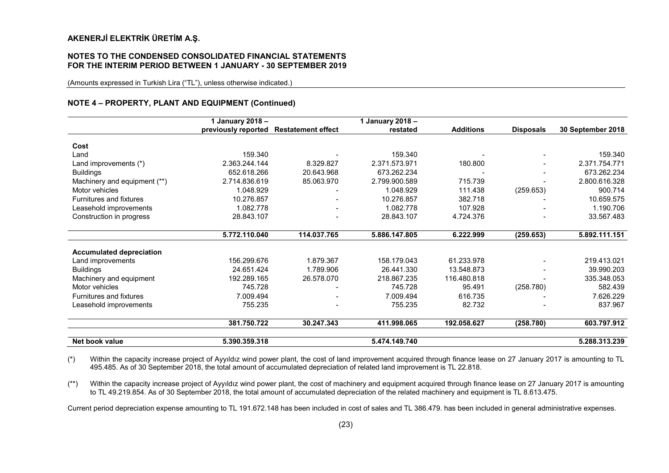#### NOTES TO THE CONDENSED CONSOLIDATED FINANCIAL STATEMENTS FOR THE INTERIM PERIOD BETWEEN 1 JANUARY - 30 SEPTEMBER 2019

(Amounts expressed in Turkish Lira ("TL"), unless otherwise indicated.)

#### NOTE 4 – PROPERTY, PLANT AND EQUIPMENT (Continued)

|                                 | 1 January 2018-     |                           | 1 January 2018 - |                  |                  |                   |
|---------------------------------|---------------------|---------------------------|------------------|------------------|------------------|-------------------|
|                                 | previously reported | <b>Restatement effect</b> | restated         | <b>Additions</b> | <b>Disposals</b> | 30 September 2018 |
| Cost                            |                     |                           |                  |                  |                  |                   |
| Land                            | 159.340             |                           | 159.340          |                  |                  | 159.340           |
| Land improvements (*)           | 2.363.244.144       | 8.329.827                 | 2.371.573.971    | 180.800          |                  | 2.371.754.771     |
| <b>Buildings</b>                | 652.618.266         | 20.643.968                | 673.262.234      |                  |                  | 673.262.234       |
|                                 |                     |                           |                  |                  |                  | 2.800.616.328     |
| Machinery and equipment (**)    | 2.714.836.619       | 85.063.970                | 2.799.900.589    | 715.739          |                  |                   |
| Motor vehicles                  | 1.048.929           |                           | 1.048.929        | 111.438          | (259.653)        | 900.714           |
| <b>Furnitures and fixtures</b>  | 10.276.857          |                           | 10.276.857       | 382.718          |                  | 10.659.575        |
| Leasehold improvements          | 1.082.778           |                           | 1.082.778        | 107.928          |                  | 1.190.706         |
| Construction in progress        | 28.843.107          |                           | 28.843.107       | 4.724.376        |                  | 33.567.483        |
|                                 | 5.772.110.040       | 114.037.765               | 5.886.147.805    | 6.222.999        | (259.653)        | 5.892.111.151     |
|                                 |                     |                           |                  |                  |                  |                   |
| <b>Accumulated depreciation</b> | 156.299.676         | 1.879.367                 | 158.179.043      | 61.233.978       |                  | 219.413.021       |
| Land improvements               | 24.651.424          | 1.789.906                 | 26.441.330       |                  |                  | 39.990.203        |
| <b>Buildings</b>                |                     |                           |                  | 13.548.873       |                  |                   |
| Machinery and equipment         | 192.289.165         | 26.578.070                | 218.867.235      | 116.480.818      |                  | 335.348.053       |
| Motor vehicles                  | 745.728             |                           | 745.728          | 95.491           | (258.780)        | 582.439           |
| <b>Furnitures and fixtures</b>  | 7.009.494           |                           | 7.009.494        | 616.735          |                  | 7.626.229         |
| Leasehold improvements          | 755.235             |                           | 755.235          | 82.732           |                  | 837.967           |
|                                 | 381.750.722         | 30.247.343                | 411.998.065      | 192.058.627      | (258.780)        | 603.797.912       |
| Net book value                  | 5.390.359.318       |                           | 5.474.149.740    |                  |                  | 5.288.313.239     |

(\*) Within the capacity increase project of Ayyıldız wind power plant, the cost of land improvement acquired through finance lease on 27 January 2017 is amounting to TL 495.485. As of 30 September 2018, the total amount of accumulated depreciation of related land improvement is TL 22.818.

(\*\*) Within the capacity increase project of Ayyıldız wind power plant, the cost of machinery and equipment acquired through finance lease on 27 January 2017 is amounting to TL 49.219.854. As of 30 September 2018, the total amount of accumulated depreciation of the related machinery and equipment is TL 8.613.475.

Current period depreciation expense amounting to TL 191.672.148 has been included in cost of sales and TL 386.479. has been included in general administrative expenses.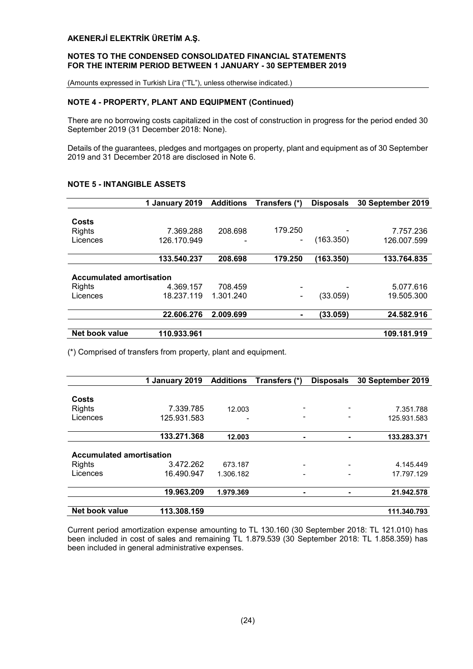#### NOTES TO THE CONDENSED CONSOLIDATED FINANCIAL STATEMENTS FOR THE INTERIM PERIOD BETWEEN 1 JANUARY - 30 SEPTEMBER 2019

(Amounts expressed in Turkish Lira ("TL"), unless otherwise indicated.)

# NOTE 4 - PROPERTY, PLANT AND EQUIPMENT (Continued)

There are no borrowing costs capitalized in the cost of construction in progress for the period ended 30 September 2019 (31 December 2018: None).

Details of the guarantees, pledges and mortgages on property, plant and equipment as of 30 September 2019 and 31 December 2018 are disclosed in Note 6.

|                                 | 1 January 2019 | Additions | Transfers (*) | <b>Disposals</b> | 30 September 2019 |
|---------------------------------|----------------|-----------|---------------|------------------|-------------------|
|                                 |                |           |               |                  |                   |
| Costs                           |                |           |               |                  |                   |
| <b>Rights</b>                   | 7.369.288      | 208.698   | 179.250       | -                | 7.757.236         |
| Licences                        | 126.170.949    |           |               | (163.350)        | 126.007.599       |
|                                 |                |           |               |                  |                   |
|                                 | 133.540.237    | 208.698   | 179.250       | (163.350)        | 133.764.835       |
|                                 |                |           |               |                  |                   |
| <b>Accumulated amortisation</b> |                |           |               |                  |                   |
| <b>Rights</b>                   | 4.369.157      | 708.459   | ۰             |                  | 5.077.616         |
| Licences                        | 18.237.119     | 1.301.240 | ۰             | (33.059)         | 19.505.300        |
|                                 | 22.606.276     | 2.009.699 | ۰             | (33.059)         | 24.582.916        |
|                                 |                |           |               |                  |                   |
| Net book value                  | 110.933.961    |           |               |                  | 109.181.919       |

(\*) Comprised of transfers from property, plant and equipment.

|                                 | 1 January 2019 | <b>Additions</b> | Transfers (*) | <b>Disposals</b> | 30 September 2019 |
|---------------------------------|----------------|------------------|---------------|------------------|-------------------|
|                                 |                |                  |               |                  |                   |
| Costs                           |                |                  |               |                  |                   |
| <b>Rights</b>                   | 7.339.785      | 12.003           |               |                  | 7.351.788         |
| Licences                        | 125.931.583    |                  |               |                  | 125.931.583       |
|                                 | 133.271.368    | 12.003           | -             |                  | 133.283.371       |
| <b>Accumulated amortisation</b> |                |                  |               |                  |                   |
| <b>Rights</b>                   | 3.472.262      | 673.187          |               |                  | 4.145.449         |
| Licences                        | 16.490.947     | 1.306.182        |               |                  | 17.797.129        |
|                                 | 19.963.209     | 1.979.369        | -             |                  | 21.942.578        |
| Net book value                  | 113.308.159    |                  |               |                  | 111.340.793       |

Current period amortization expense amounting to TL 130.160 (30 September 2018: TL 121.010) has been included in cost of sales and remaining TL 1.879.539 (30 September 2018: TL 1.858.359) has been included in general administrative expenses.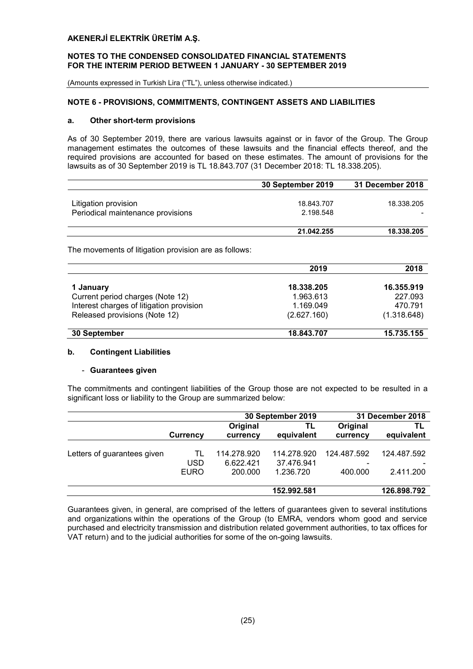#### NOTES TO THE CONDENSED CONSOLIDATED FINANCIAL STATEMENTS FOR THE INTERIM PERIOD BETWEEN 1 JANUARY - 30 SEPTEMBER 2019

(Amounts expressed in Turkish Lira ("TL"), unless otherwise indicated.)

# NOTE 6 - PROVISIONS, COMMITMENTS, CONTINGENT ASSETS AND LIABILITIES

#### a. Other short-term provisions

As of 30 September 2019, there are various lawsuits against or in favor of the Group. The Group management estimates the outcomes of these lawsuits and the financial effects thereof, and the required provisions are accounted for based on these estimates. The amount of provisions for the lawsuits as of 30 September 2019 is TL 18.843.707 (31 December 2018: TL 18.338.205).

|                                   | 30 September 2019 | 31 December 2018 |
|-----------------------------------|-------------------|------------------|
|                                   |                   |                  |
| Litigation provision              | 18.843.707        | 18.338.205       |
| Periodical maintenance provisions | 2.198.548         |                  |
|                                   | 21.042.255        | 18.338.205       |

The movements of litigation provision are as follows:

|                                          | 2019        | 2018        |
|------------------------------------------|-------------|-------------|
| 1 January                                | 18.338.205  | 16.355.919  |
| Current period charges (Note 12)         | 1.963.613   | 227.093     |
| Interest charges of litigation provision | 1.169.049   | 470.791     |
| Released provisions (Note 12)            | (2.627.160) | (1.318.648) |
| 30 September                             | 18.843.707  | 15.735.155  |

# b. Contingent Liabilities

#### - Guarantees given

The commitments and contingent liabilities of the Group those are not expected to be resulted in a significant loss or liability to the Group are summarized below:

|                             |                          | 30 September 2019                   |                                        |                        | 31 December 2018         |
|-----------------------------|--------------------------|-------------------------------------|----------------------------------------|------------------------|--------------------------|
|                             | Currency                 | Original<br>currency                | TL<br>equivalent                       | Original<br>currency   | ΤL<br>equivalent         |
| Letters of guarantees given | TL<br>USD<br><b>EURO</b> | 114.278.920<br>6.622.421<br>200.000 | 114.278.920<br>37.476.941<br>1.236.720 | 124.487.592<br>400.000 | 124.487.592<br>2.411.200 |
|                             |                          |                                     | 152.992.581                            |                        | 126.898.792              |

Guarantees given, in general, are comprised of the letters of guarantees given to several institutions and organizations within the operations of the Group (to EMRA, vendors whom good and service purchased and electricity transmission and distribution related government authorities, to tax offices for VAT return) and to the judicial authorities for some of the on-going lawsuits.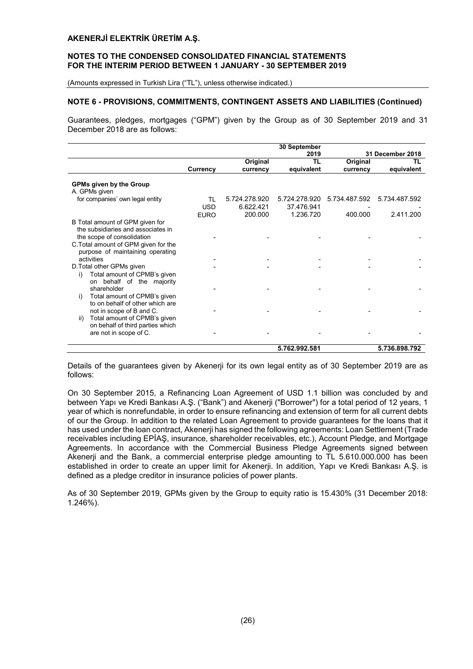#### NOTES TO THE CONDENSED CONSOLIDATED FINANCIAL STATEMENTS FOR THE INTERIM PERIOD BETWEEN 1 JANUARY - 30 SEPTEMBER 2019

(Amounts expressed in Turkish Lira ("TL"), unless otherwise indicated.)

# NOTE 6 - PROVISIONS, COMMITMENTS, CONTINGENT ASSETS AND LIABILITIES (Continued)

Guarantees, pledges, mortgages ("GPM") given by the Group as of 30 September 2019 and 31 December 2018 are as follows:

|                                                                                                        |                 |               | 30 September  |               |                  |
|--------------------------------------------------------------------------------------------------------|-----------------|---------------|---------------|---------------|------------------|
|                                                                                                        |                 |               | 2019          |               | 31 December 2018 |
|                                                                                                        |                 | Original      | TL            | Original      | ΤL               |
|                                                                                                        | <b>Currency</b> | currency      | equivalent    | currency      | equivalent       |
| <b>GPMs given by the Group</b><br>A. GPMs given                                                        |                 |               |               |               |                  |
| for companies' own legal entity                                                                        | TL              | 5.724.278.920 | 5.724.278.920 | 5.734.487.592 | 5.734.487.592    |
|                                                                                                        | <b>USD</b>      | 6.622.421     | 37.476.941    |               |                  |
|                                                                                                        | <b>EURO</b>     | 200.000       | 1.236.720     | 400.000       | 2.411.200        |
| B Total amount of GPM given for<br>the subsidiaries and associates in                                  |                 |               |               |               |                  |
| the scope of consolidation<br>C. Total amount of GPM given for the<br>purpose of maintaining operating |                 |               |               |               |                  |
| activities                                                                                             |                 |               |               |               |                  |
| D. Total other GPMs given<br>Total amount of CPMB's given<br>i)<br>on behalf of the majority           |                 |               |               |               |                  |
| shareholder<br>Total amount of CPMB's given<br>i)<br>to on behalf of other which are                   |                 |               |               |               |                  |
| not in scope of B and C.<br>Total amount of CPMB's given<br>ii)<br>on behalf of third parties which    |                 |               |               |               |                  |
| are not in scope of C.                                                                                 |                 |               |               |               |                  |
|                                                                                                        |                 |               | 5.762.992.581 |               | 5.736.898.792    |

Details of the guarantees given by Akenerji for its own legal entity as of 30 September 2019 are as follows:

On 30 September 2015, a Refinancing Loan Agreement of USD 1.1 billion was concluded by and between Yapı ve Kredi Bankası A.Ş. ("Bank") and Akenerji ("Borrower") for a total period of 12 years, 1 year of which is nonrefundable, in order to ensure refinancing and extension of term for all current debts of our the Group. In addition to the related Loan Agreement to provide guarantees for the loans that it has used under the loan contract, Akenerji has signed the following agreements: Loan Settlement (Trade receivables including EPİAŞ, insurance, shareholder receivables, etc.), Account Pledge, and Mortgage Agreements. In accordance with the Commercial Business Pledge Agreements signed between Akenerji and the Bank, a commercial enterprise pledge amounting to TL 5.610.000.000 has been established in order to create an upper limit for Akenerji. In addition, Yapı ve Kredi Bankası A.Ş. is defined as a pledge creditor in insurance policies of power plants.

As of 30 September 2019, GPMs given by the Group to equity ratio is 15.430% (31 December 2018: 1.246%).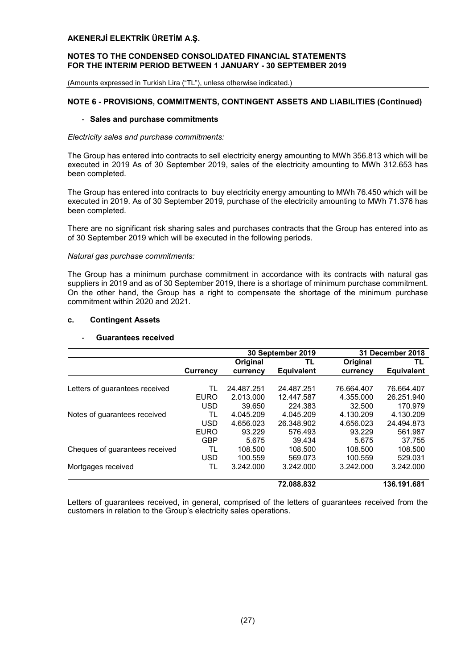#### NOTES TO THE CONDENSED CONSOLIDATED FINANCIAL STATEMENTS FOR THE INTERIM PERIOD BETWEEN 1 JANUARY - 30 SEPTEMBER 2019

(Amounts expressed in Turkish Lira ("TL"), unless otherwise indicated.)

# NOTE 6 - PROVISIONS, COMMITMENTS, CONTINGENT ASSETS AND LIABILITIES (Continued)

#### - Sales and purchase commitments

#### *Electricity sales and purchase commitments:*

The Group has entered into contracts to sell electricity energy amounting to MWh 356.813 which will be executed in 2019 As of 30 September 2019, sales of the electricity amounting to MWh 312.653 has been completed.

The Group has entered into contracts to buy electricity energy amounting to MWh 76.450 which will be executed in 2019. As of 30 September 2019, purchase of the electricity amounting to MWh 71.376 has been completed.

There are no significant risk sharing sales and purchases contracts that the Group has entered into as of 30 September 2019 which will be executed in the following periods.

#### *Natural gas purchase commitments:*

The Group has a minimum purchase commitment in accordance with its contracts with natural gas suppliers in 2019 and as of 30 September 2019, there is a shortage of minimum purchase commitment. On the other hand, the Group has a right to compensate the shortage of the minimum purchase commitment within 2020 and 2021.

# c. Contingent Assets

# Guarantees received

|                                |                 | 30 September 2019 |                   | 31 December 2018 |                   |
|--------------------------------|-----------------|-------------------|-------------------|------------------|-------------------|
|                                |                 | Original          | TL                | Original         | TL                |
|                                | <b>Currency</b> | currency          | <b>Equivalent</b> | currency         | <b>Equivalent</b> |
|                                |                 |                   |                   |                  |                   |
| Letters of guarantees received | TL              | 24.487.251        | 24.487.251        | 76.664.407       | 76.664.407        |
|                                | <b>EURO</b>     | 2.013.000         | 12.447.587        | 4.355.000        | 26.251.940        |
|                                | <b>USD</b>      | 39.650            | 224.383           | 32.500           | 170.979           |
| Notes of guarantees received   | TL              | 4.045.209         | 4.045.209         | 4.130.209        | 4.130.209         |
|                                | <b>USD</b>      | 4.656.023         | 26.348.902        | 4.656.023        | 24.494.873        |
|                                | <b>EURO</b>     | 93.229            | 576.493           | 93.229           | 561.987           |
|                                | <b>GBP</b>      | 5.675             | 39.434            | 5.675            | 37.755            |
| Cheques of guarantees received | TL              | 108.500           | 108.500           | 108.500          | 108.500           |
|                                | <b>USD</b>      | 100.559           | 569.073           | 100.559          | 529.031           |
| Mortgages received             | TL              | 3.242.000         | 3.242.000         | 3.242.000        | 3.242.000         |
|                                |                 |                   | 72.088.832        |                  | 136.191.681       |

Letters of guarantees received, in general, comprised of the letters of guarantees received from the customers in relation to the Group's electricity sales operations.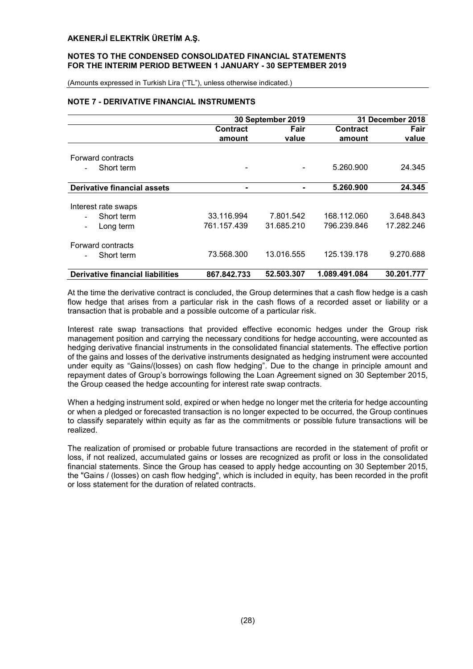# NOTES TO THE CONDENSED CONSOLIDATED FINANCIAL STATEMENTS FOR THE INTERIM PERIOD BETWEEN 1 JANUARY - 30 SEPTEMBER 2019

(Amounts expressed in Turkish Lira ("TL"), unless otherwise indicated.)

# NOTE 7 - DERIVATIVE FINANCIAL INSTRUMENTS

|                                         | 30 September 2019 |            | 31 December 2018 |            |
|-----------------------------------------|-------------------|------------|------------------|------------|
|                                         | <b>Contract</b>   | Fair       | <b>Contract</b>  | Fair       |
|                                         | amount            | value      | amount           | value      |
| Forward contracts                       |                   |            |                  |            |
|                                         |                   |            |                  |            |
| Short term                              |                   |            | 5.260.900        | 24.345     |
| <b>Derivative financial assets</b>      | $\blacksquare$    |            | 5.260.900        | 24.345     |
|                                         |                   |            |                  |            |
| Interest rate swaps                     |                   |            |                  |            |
| Short term                              | 33.116.994        | 7.801.542  | 168.112.060      | 3.648.843  |
| Long term                               | 761.157.439       | 31.685.210 | 796.239.846      | 17.282.246 |
| Forward contracts                       |                   |            |                  |            |
| Short term                              | 73.568.300        | 13.016.555 | 125.139.178      | 9.270.688  |
| <b>Derivative financial liabilities</b> | 867.842.733       | 52.503.307 | 1.089.491.084    | 30.201.777 |

At the time the derivative contract is concluded, the Group determines that a cash flow hedge is a cash flow hedge that arises from a particular risk in the cash flows of a recorded asset or liability or a transaction that is probable and a possible outcome of a particular risk.

Interest rate swap transactions that provided effective economic hedges under the Group risk management position and carrying the necessary conditions for hedge accounting, were accounted as hedging derivative financial instruments in the consolidated financial statements. The effective portion of the gains and losses of the derivative instruments designated as hedging instrument were accounted under equity as "Gains/(losses) on cash flow hedging". Due to the change in principle amount and repayment dates of Group's borrowings following the Loan Agreement signed on 30 September 2015, the Group ceased the hedge accounting for interest rate swap contracts.

When a hedging instrument sold, expired or when hedge no longer met the criteria for hedge accounting or when a pledged or forecasted transaction is no longer expected to be occurred, the Group continues to classify separately within equity as far as the commitments or possible future transactions will be realized.

The realization of promised or probable future transactions are recorded in the statement of profit or loss, if not realized, accumulated gains or losses are recognized as profit or loss in the consolidated financial statements. Since the Group has ceased to apply hedge accounting on 30 September 2015, the "Gains / (losses) on cash flow hedging", which is included in equity, has been recorded in the profit or loss statement for the duration of related contracts.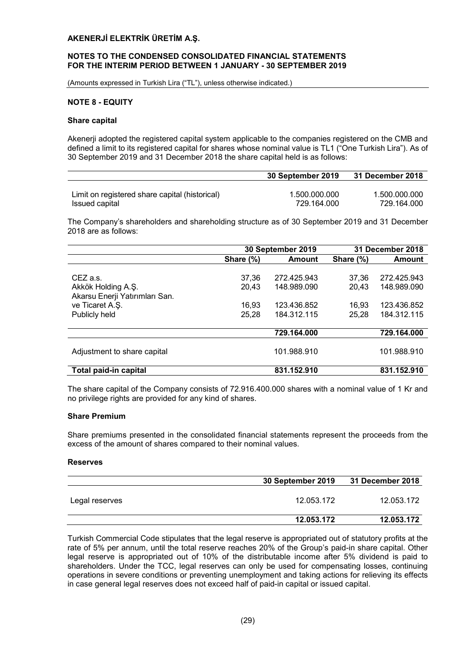#### NOTES TO THE CONDENSED CONSOLIDATED FINANCIAL STATEMENTS FOR THE INTERIM PERIOD BETWEEN 1 JANUARY - 30 SEPTEMBER 2019

(Amounts expressed in Turkish Lira ("TL"), unless otherwise indicated.)

#### NOTE 8 - EQUITY

#### Share capital

Akenerji adopted the registered capital system applicable to the companies registered on the CMB and defined a limit to its registered capital for shares whose nominal value is TL1 ("One Turkish Lira"). As of 30 September 2019 and 31 December 2018 the share capital held is as follows:

|                                                | 30 September 2019 | 31 December 2018 |
|------------------------------------------------|-------------------|------------------|
|                                                |                   |                  |
| Limit on registered share capital (historical) | 1.500.000.000     | 1.500.000.000    |
| Issued capital                                 | 729.164.000       | 729.164.000      |

The Company's shareholders and shareholding structure as of 30 September 2019 and 31 December 2018 are as follows:

|                                | 30 September 2019 |               |           | 31 December 2018 |
|--------------------------------|-------------------|---------------|-----------|------------------|
|                                | Share (%)         | <b>Amount</b> | Share (%) | Amount           |
|                                |                   |               |           |                  |
| CEZ a.s.                       | 37,36             | 272.425.943   | 37.36     | 272.425.943      |
| Akkök Holding A.Ş.             | 20,43             | 148.989.090   | 20,43     | 148.989.090      |
| Akarsu Enerji Yatırımları San. |                   |               |           |                  |
| ve Ticaret A.Ş.                | 16.93             | 123.436.852   | 16.93     | 123.436.852      |
| Publicly held                  | 25,28             | 184.312.115   | 25,28     | 184.312.115      |
|                                |                   |               |           |                  |
|                                |                   | 729.164.000   |           | 729.164.000      |
|                                |                   |               |           |                  |
| Adjustment to share capital    |                   | 101.988.910   |           | 101.988.910      |
|                                |                   |               |           |                  |
| Total paid-in capital          |                   | 831.152.910   |           | 831.152.910      |

The share capital of the Company consists of 72.916.400.000 shares with a nominal value of 1 Kr and no privilege rights are provided for any kind of shares.

#### Share Premium

Share premiums presented in the consolidated financial statements represent the proceeds from the excess of the amount of shares compared to their nominal values.

#### Reserves

|                | 30 September 2019 | 31 December 2018 |
|----------------|-------------------|------------------|
| Legal reserves | 12.053.172        | 12.053.172       |
|                | 12.053.172        | 12.053.172       |

Turkish Commercial Code stipulates that the legal reserve is appropriated out of statutory profits at the rate of 5% per annum, until the total reserve reaches 20% of the Group's paid-in share capital. Other legal reserve is appropriated out of 10% of the distributable income after 5% dividend is paid to shareholders. Under the TCC, legal reserves can only be used for compensating losses, continuing operations in severe conditions or preventing unemployment and taking actions for relieving its effects in case general legal reserves does not exceed half of paid-in capital or issued capital.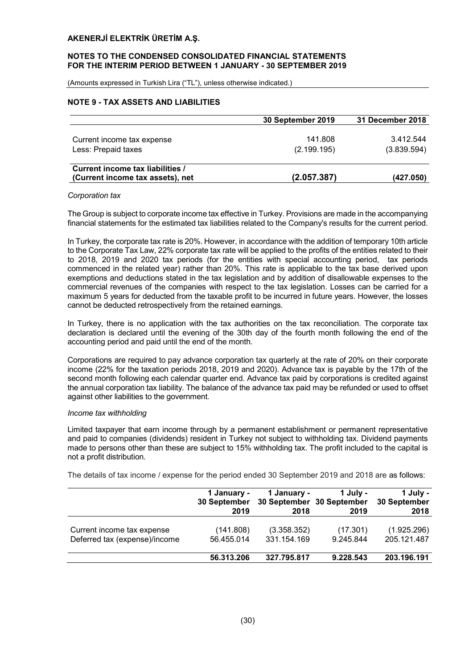#### NOTES TO THE CONDENSED CONSOLIDATED FINANCIAL STATEMENTS FOR THE INTERIM PERIOD BETWEEN 1 JANUARY - 30 SEPTEMBER 2019

(Amounts expressed in Turkish Lira ("TL"), unless otherwise indicated.)

# NOTE 9 - TAX ASSETS AND LIABILITIES

|                                  | 30 September 2019 | 31 December 2018 |
|----------------------------------|-------------------|------------------|
|                                  |                   |                  |
| Current income tax expense       | 141.808           | 3.412.544        |
| Less: Prepaid taxes              | (2.199.195)       | (3.839.594)      |
|                                  |                   |                  |
| Current income tax liabilities / |                   |                  |
| (Current income tax assets), net | (2.057.387)       | (427.050)        |

#### *Corporation tax*

The Group is subject to corporate income tax effective in Turkey. Provisions are made in the accompanying financial statements for the estimated tax liabilities related to the Company's results for the current period.

In Turkey, the corporate tax rate is 20%. However, in accordance with the addition of temporary 10th article to the Corporate Tax Law, 22% corporate tax rate will be applied to the profits of the entities related to their to 2018, 2019 and 2020 tax periods (for the entities with special accounting period, tax periods commenced in the related year) rather than 20%. This rate is applicable to the tax base derived upon exemptions and deductions stated in the tax legislation and by addition of disallowable expenses to the commercial revenues of the companies with respect to the tax legislation. Losses can be carried for a maximum 5 years for deducted from the taxable profit to be incurred in future years. However, the losses cannot be deducted retrospectively from the retained earnings.

In Turkey, there is no application with the tax authorities on the tax reconciliation. The corporate tax declaration is declared until the evening of the 30th day of the fourth month following the end of the accounting period and paid until the end of the month.

Corporations are required to pay advance corporation tax quarterly at the rate of 20% on their corporate income (22% for the taxation periods 2018, 2019 and 2020). Advance tax is payable by the 17th of the second month following each calendar quarter end. Advance tax paid by corporations is credited against the annual corporation tax liability. The balance of the advance tax paid may be refunded or used to offset against other liabilities to the government.

#### *Income tax withholding*

Limited taxpayer that earn income through by a permanent establishment or permanent representative and paid to companies (dividends) resident in Turkey not subject to withholding tax. Dividend payments made to persons other than these are subject to 15% withholding tax. The profit included to the capital is not a profit distribution.

The details of tax income / expense for the period ended 30 September 2019 and 2018 are as follows:

|                                                             | 1 January -<br>30 September<br>2019 | 1 January -<br>2018        | 1 July -<br>30 September 30 September<br>2019 | 1 July -<br>30 September<br>2018 |
|-------------------------------------------------------------|-------------------------------------|----------------------------|-----------------------------------------------|----------------------------------|
| Current income tax expense<br>Deferred tax (expense)/income | (141.808)<br>56.455.014             | (3.358.352)<br>331.154.169 | (17.301)<br>9.245.844                         | (1.925.296)<br>205.121.487       |
|                                                             | 56.313.206                          | 327.795.817                | 9.228.543                                     | 203.196.191                      |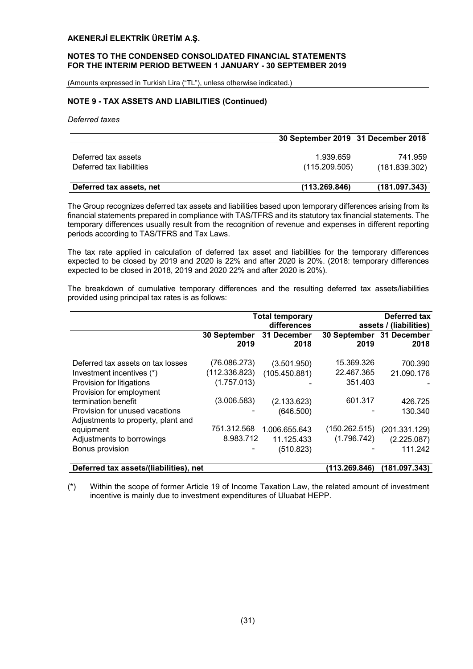#### NOTES TO THE CONDENSED CONSOLIDATED FINANCIAL STATEMENTS FOR THE INTERIM PERIOD BETWEEN 1 JANUARY - 30 SEPTEMBER 2019

(Amounts expressed in Turkish Lira ("TL"), unless otherwise indicated.)

# NOTE 9 - TAX ASSETS AND LIABILITIES (Continued)

*Deferred taxes*

|                          | 30 September 2019 31 December 2018 |               |
|--------------------------|------------------------------------|---------------|
|                          |                                    |               |
| Deferred tax assets      | 1.939.659                          | 741.959       |
| Deferred tax liabilities | (115.209.505)                      | (181.839.302) |
|                          |                                    |               |
| Deferred tax assets, net | (113.269.846)                      | (181.097.343) |

The Group recognizes deferred tax assets and liabilities based upon temporary differences arising from its financial statements prepared in compliance with TAS/TFRS and its statutory tax financial statements. The temporary differences usually result from the recognition of revenue and expenses in different reporting periods according to TAS/TFRS and Tax Laws.

The tax rate applied in calculation of deferred tax asset and liabilities for the temporary differences expected to be closed by 2019 and 2020 is 22% and after 2020 is 20%. (2018: temporary differences expected to be closed in 2018, 2019 and 2020 22% and after 2020 is 20%).

The breakdown of cumulative temporary differences and the resulting deferred tax assets/liabilities provided using principal tax rates is as follows:

|                                        |               | <b>Total temporary</b> |                          | Deferred tax           |
|----------------------------------------|---------------|------------------------|--------------------------|------------------------|
|                                        |               | differences            |                          | assets / (liabilities) |
|                                        | 30 September  | 31 December            | 30 September 31 December |                        |
|                                        | 2019          | 2018                   | 2019                     | 2018                   |
| Deferred tax assets on tax losses      |               |                        | 15.369.326               |                        |
|                                        | (76.086.273)  | (3.501.950)            |                          | 700.390                |
| Investment incentives (*)              | (112.336.823) | (105.450.881)          | 22.467.365               | 21.090.176             |
| Provision for litigations              | (1.757.013)   |                        | 351.403                  |                        |
| Provision for employment               |               |                        |                          |                        |
| termination benefit                    | (3.006.583)   | (2.133.623)            | 601.317                  | 426.725                |
| Provision for unused vacations         |               | (646.500)              |                          | 130.340                |
| Adjustments to property, plant and     |               |                        |                          |                        |
| equipment                              | 751.312.568   | 1.006.655.643          | (150.262.515)            | (201.331.129)          |
| Adjustments to borrowings              | 8.983.712     | 11.125.433             | (1.796.742)              | (2.225.087)            |
| Bonus provision                        |               | (510.823)              |                          | 111.242                |
| Deferred tax assets/(liabilities), net |               |                        | (113.269.846)            | (181.097.343)          |

(\*) Within the scope of former Article 19 of Income Taxation Law, the related amount of investment incentive is mainly due to investment expenditures of Uluabat HEPP.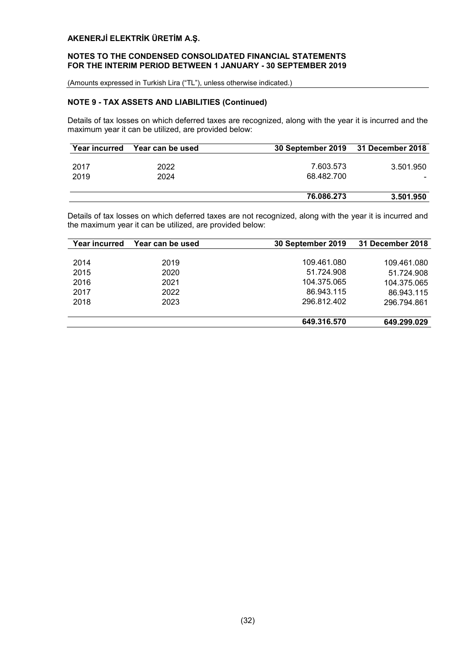# NOTES TO THE CONDENSED CONSOLIDATED FINANCIAL STATEMENTS FOR THE INTERIM PERIOD BETWEEN 1 JANUARY - 30 SEPTEMBER 2019

(Amounts expressed in Turkish Lira ("TL"), unless otherwise indicated.)

# NOTE 9 - TAX ASSETS AND LIABILITIES (Continued)

Details of tax losses on which deferred taxes are recognized, along with the year it is incurred and the maximum year it can be utilized, are provided below:

| Year incurred | Year can be used | 30 September 2019 31 December 2018 |           |
|---------------|------------------|------------------------------------|-----------|
|               |                  |                                    |           |
| 2017          | 2022             | 7.603.573                          | 3.501.950 |
| 2019          | 2024             | 68.482.700                         |           |
|               |                  |                                    |           |
|               |                  | 76.086.273                         | 3.501.950 |

Details of tax losses on which deferred taxes are not recognized, along with the year it is incurred and the maximum year it can be utilized, are provided below:

| Year incurred | Year can be used | 30 September 2019 | 31 December 2018 |
|---------------|------------------|-------------------|------------------|
|               |                  |                   |                  |
| 2014          | 2019             | 109.461.080       | 109.461.080      |
| 2015          | 2020             | 51.724.908        | 51.724.908       |
| 2016          | 2021             | 104.375.065       | 104.375.065      |
| 2017          | 2022             | 86.943.115        | 86.943.115       |
| 2018          | 2023             | 296.812.402       | 296.794.861      |
|               |                  |                   |                  |
|               |                  | 649.316.570       | 649.299.029      |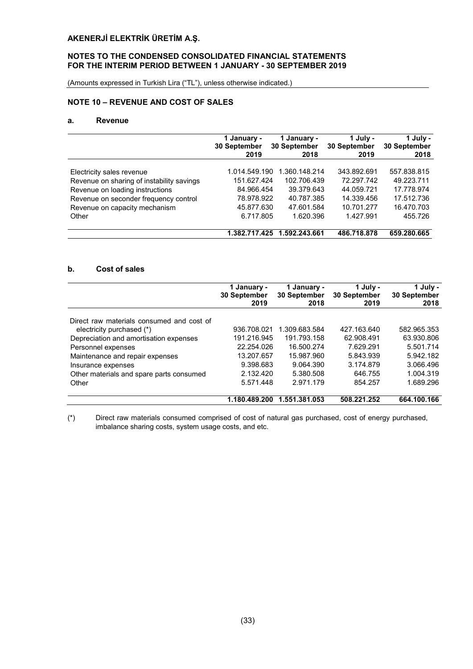# NOTES TO THE CONDENSED CONSOLIDATED FINANCIAL STATEMENTS FOR THE INTERIM PERIOD BETWEEN 1 JANUARY - 30 SEPTEMBER 2019

(Amounts expressed in Turkish Lira ("TL"), unless otherwise indicated.)

# NOTE 10 – REVENUE AND COST OF SALES

## a. Revenue

|                                           | 1 January -   | 1 January -         | 1 July -     | 1 July -            |
|-------------------------------------------|---------------|---------------------|--------------|---------------------|
|                                           | 30 September  | <b>30 September</b> | 30 September | <b>30 September</b> |
|                                           | 2019          | 2018                | 2019         | 2018                |
| Electricity sales revenue                 | 1.014.549.190 | 1.360.148.214       | 343.892.691  | 557.838.815         |
| Revenue on sharing of instability savings | 151.627.424   | 102.706.439         | 72.297.742   | 49.223.711          |
| Revenue on loading instructions           | 84.966.454    | 39.379.643          | 44.059.721   | 17.778.974          |
| Revenue on seconder frequency control     | 78.978.922    | 40.787.385          | 14.339.456   | 17.512.736          |
| Revenue on capacity mechanism             | 45.877.630    | 47.601.584          | 10.701.277   | 16.470.703          |
| Other                                     | 6.717.805     | 1.620.396           | 1.427.991    | 455.726             |
|                                           | 1.382.717.425 | 1.592.243.661       | 486.718.878  | 659.280.665         |

# b. Cost of sales

|                                           | 1 January -<br>30 September<br>2019 | 1 January -<br>30 September<br>2018 | 1 July -<br>30 September<br>2019 | 1 July -<br>30 September<br>2018 |
|-------------------------------------------|-------------------------------------|-------------------------------------|----------------------------------|----------------------------------|
| Direct raw materials consumed and cost of |                                     |                                     |                                  |                                  |
| electricity purchased (*)                 | 936.708.021                         | 1.309.683.584                       | 427.163.640                      | 582.965.353                      |
| Depreciation and amortisation expenses    | 191.216.945                         | 191.793.158                         | 62.908.491                       | 63.930.806                       |
| Personnel expenses                        | 22.254.026                          | 16.500.274                          | 7.629.291                        | 5.501.714                        |
| Maintenance and repair expenses           | 13.207.657                          | 15.987.960                          | 5.843.939                        | 5.942.182                        |
| Insurance expenses                        | 9.398.683                           | 9.064.390                           | 3.174.879                        | 3.066.496                        |
| Other materials and spare parts consumed  | 2.132.420                           | 5.380.508                           | 646.755                          | 1.004.319                        |
| Other                                     | 5.571.448                           | 2.971.179                           | 854.257                          | 1.689.296                        |
|                                           | 1.180.489.200                       | 1.551.381.053                       | 508.221.252                      | 664.100.166                      |

(\*) Direct raw materials consumed comprised of cost of natural gas purchased, cost of energy purchased, imbalance sharing costs, system usage costs, and etc.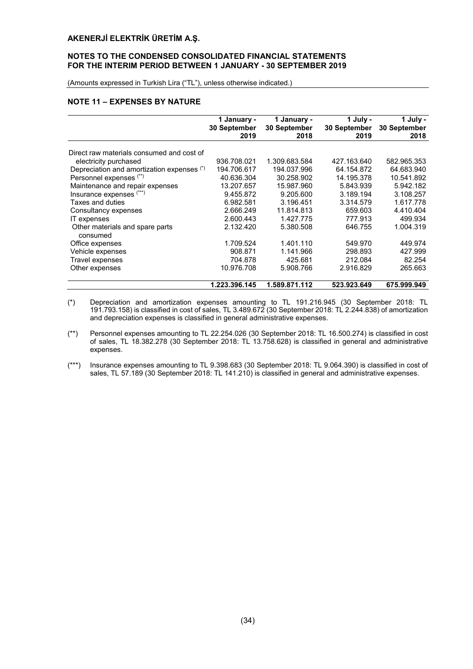# NOTES TO THE CONDENSED CONSOLIDATED FINANCIAL STATEMENTS FOR THE INTERIM PERIOD BETWEEN 1 JANUARY - 30 SEPTEMBER 2019

(Amounts expressed in Turkish Lira ("TL"), unless otherwise indicated.)

# NOTE 11 – EXPENSES BY NATURE

|                                             | 1 January -<br><b>30 September</b><br>2019 | 1 January -<br>30 September<br>2018 | 1 July -<br>30 September<br>2019 | 1 July -<br>30 September<br>2018 |
|---------------------------------------------|--------------------------------------------|-------------------------------------|----------------------------------|----------------------------------|
| Direct raw materials consumed and cost of   |                                            |                                     |                                  |                                  |
| electricity purchased                       | 936.708.021                                | 1.309.683.584                       | 427.163.640                      | 582.965.353                      |
|                                             |                                            |                                     |                                  |                                  |
| Depreciation and amortization expenses (*)  | 194.706.617                                | 194.037.996                         | 64.154.872                       | 64.683.940                       |
| Personnel expenses (**)                     | 40.636.304                                 | 30.258.902                          | 14.195.378                       | 10.541.892                       |
| Maintenance and repair expenses             | 13.207.657                                 | 15.987.960                          | 5.843.939                        | 5.942.182                        |
| Insurance expenses (***)                    | 9.455.872                                  | 9.205.600                           | 3.189.194                        | 3.108.257                        |
| Taxes and duties                            | 6.982.581                                  | 3.196.451                           | 3.314.579                        | 1.617.778                        |
| Consultancy expenses                        | 2.666.249                                  | 11.814.813                          | 659.603                          | 4.410.404                        |
| IT expenses                                 | 2.600.443                                  | 1.427.775                           | 777.913                          | 499.934                          |
| Other materials and spare parts<br>consumed | 2.132.420                                  | 5.380.508                           | 646.755                          | 1.004.319                        |
| Office expenses                             | 1.709.524                                  | 1.401.110                           | 549.970                          | 449.974                          |
| Vehicle expenses                            | 908.871                                    | 1.141.966                           | 298.893                          | 427.999                          |
| Travel expenses                             | 704.878                                    | 425.681                             | 212.084                          | 82.254                           |
| Other expenses                              | 10.976.708                                 | 5.908.766                           | 2.916.829                        | 265.663                          |
|                                             | 1.223.396.145                              | 1.589.871.112                       | 523.923.649                      | 675.999.949                      |

- (\*) Depreciation and amortization expenses amounting to TL 191.216.945 (30 September 2018: TL 191.793.158) is classified in cost of sales, TL 3.489.672 (30 September 2018: TL 2.244.838) of amortization and depreciation expenses is classified in general administrative expenses.
- (\*\*) Personnel expenses amounting to TL 22.254.026 (30 September 2018: TL 16.500.274) is classified in cost of sales, TL 18.382.278 (30 September 2018: TL 13.758.628) is classified in general and administrative expenses.
- (\*\*\*) Insurance expenses amounting to TL 9.398.683 (30 September 2018: TL 9.064.390) is classified in cost of sales, TL 57.189 (30 September 2018: TL 141.210) is classified in general and administrative expenses.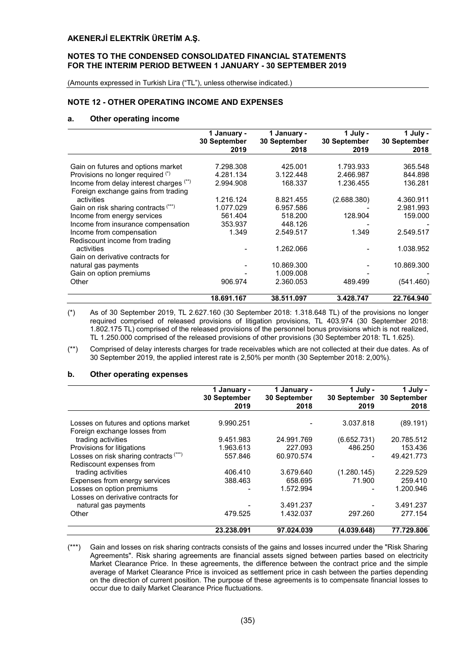#### NOTES TO THE CONDENSED CONSOLIDATED FINANCIAL STATEMENTS FOR THE INTERIM PERIOD BETWEEN 1 JANUARY - 30 SEPTEMBER 2019

(Amounts expressed in Turkish Lira ("TL"), unless otherwise indicated.)

#### NOTE 12 - OTHER OPERATING INCOME AND EXPENSES

#### a. Other operating income

|                                         | 1 January -<br><b>30 September</b><br>2019 | 1 January -<br><b>30 September</b><br>2018 | 1 July -<br>30 September<br>2019 | 1 July -<br><b>30 September</b><br>2018 |
|-----------------------------------------|--------------------------------------------|--------------------------------------------|----------------------------------|-----------------------------------------|
|                                         |                                            |                                            |                                  |                                         |
| Gain on futures and options market      | 7.298.308                                  | 425.001                                    | 1.793.933                        | 365.548                                 |
| Provisions no longer required (*)       | 4.281.134                                  | 3.122.448                                  | 2.466.987                        | 844.898                                 |
| Income from delay interest charges (**) | 2.994.908                                  | 168.337                                    | 1.236.455                        | 136.281                                 |
| Foreign exchange gains from trading     |                                            |                                            |                                  |                                         |
| activities                              | 1.216.124                                  | 8.821.455                                  | (2.688.380)                      | 4.360.911                               |
| Gain on risk sharing contracts (***)    | 1.077.029                                  | 6.957.586                                  |                                  | 2.981.993                               |
| Income from energy services             | 561.404                                    | 518.200                                    | 128.904                          | 159.000                                 |
| Income from insurance compensation      | 353.937                                    | 448.126                                    |                                  |                                         |
| Income from compensation                | 1.349                                      | 2.549.517                                  | 1.349                            | 2.549.517                               |
| Rediscount income from trading          |                                            |                                            |                                  |                                         |
| activities                              |                                            | 1.262.066                                  |                                  | 1.038.952                               |
| Gain on derivative contracts for        |                                            |                                            |                                  |                                         |
| natural gas payments                    |                                            | 10.869.300                                 |                                  | 10.869.300                              |
| Gain on option premiums                 |                                            | 1.009.008                                  |                                  |                                         |
| Other                                   | 906.974                                    | 2.360.053                                  | 489.499                          | (541.460)                               |
|                                         |                                            |                                            |                                  |                                         |
|                                         | 18.691.167                                 | 38.511.097                                 | 3.428.747                        | 22.764.940                              |

(\*) As of 30 September 2019, TL 2.627.160 (30 September 2018: 1.318.648 TL) of the provisions no longer required comprised of released provisions of litigation provisions, TL 403.974 (30 September 2018: 1.802.175 TL) comprised of the released provisions of the personnel bonus provisions which is not realized, TL 1.250.000 comprised of the released provisions of other provisions (30 September 2018: TL 1.625).

(\*\*) Comprised of delay interests charges for trade receivables which are not collected at their due dates. As of 30 September 2019, the applied interest rate is 2,50% per month (30 September 2018: 2,00%).

#### b. Other operating expenses

|                                        | 1 January -<br>30 September<br>2019 | 1 January -<br>30 September<br>2018 | 1 July -<br>2019 | 1 July -<br>30 September 30 September<br>2018 |
|----------------------------------------|-------------------------------------|-------------------------------------|------------------|-----------------------------------------------|
|                                        |                                     |                                     |                  |                                               |
| Losses on futures and options market   | 9.990.251                           |                                     | 3.037.818        | (89.191)                                      |
| Foreign exchange losses from           |                                     |                                     |                  |                                               |
| trading activities                     | 9.451.983                           | 24.991.769                          | (6.652.731)      | 20.785.512                                    |
| Provisions for litigations             | 1.963.613                           | 227.093                             | 486.250          | 153.436                                       |
| Losses on risk sharing contracts (***) | 557.846                             | 60.970.574                          |                  | 49.421.773                                    |
| Rediscount expenses from               |                                     |                                     |                  |                                               |
| trading activities                     | 406.410                             | 3.679.640                           | (1.280.145)      | 2.229.529                                     |
| Expenses from energy services          | 388.463                             | 658.695                             | 71.900           | 259.410                                       |
| Losses on option premiums              |                                     | 1.572.994                           |                  | 1.200.946                                     |
| Losses on derivative contracts for     |                                     |                                     |                  |                                               |
| natural gas payments                   |                                     | 3.491.237                           |                  | 3.491.237                                     |
| Other                                  | 479.525                             | 1.432.037                           | 297.260          | 277.154                                       |
|                                        | 23.238.091                          | 97.024.039                          | (4.039.648)      | 77.729.806                                    |

(\*\*\*) Gain and losses on risk sharing contracts consists of the gains and losses incurred under the "Risk Sharing Agreements". Risk sharing agreements are financial assets signed between parties based on electricity Market Clearance Price. In these agreements, the difference between the contract price and the simple average of Market Clearance Price is invoiced as settlement price in cash between the parties depending on the direction of current position. The purpose of these agreements is to compensate financial losses to occur due to daily Market Clearance Price fluctuations.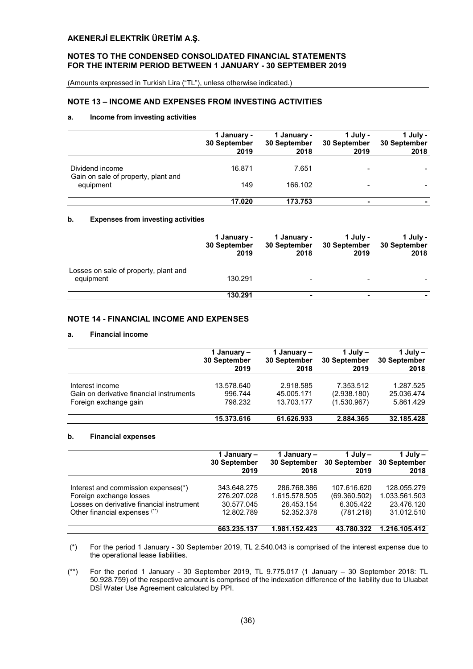#### NOTES TO THE CONDENSED CONSOLIDATED FINANCIAL STATEMENTS FOR THE INTERIM PERIOD BETWEEN 1 JANUARY - 30 SEPTEMBER 2019

(Amounts expressed in Turkish Lira ("TL"), unless otherwise indicated.)

# NOTE 13 – INCOME AND EXPENSES FROM INVESTING ACTIVITIES

#### a. Income from investing activities

|                                                  | 1 January -<br><b>30 September</b><br>2019 | 1 January -<br>30 September<br>2018 | 1 July -<br>30 September<br>2019 | $1$ July -<br>30 September<br>2018 |
|--------------------------------------------------|--------------------------------------------|-------------------------------------|----------------------------------|------------------------------------|
| Dividend income                                  | 16.871                                     | 7.651                               |                                  |                                    |
| Gain on sale of property, plant and<br>equipment | 149                                        | 166.102                             |                                  |                                    |
|                                                  | 17.020                                     | 173.753                             | -                                |                                    |

#### b. Expenses from investing activities

|                                                    | 1 January -<br>30 September<br>2019 | 1 January -<br>30 September<br>2018 | 1 July -<br>30 September<br>2019 | 1 July -<br>30 September<br>2018 |
|----------------------------------------------------|-------------------------------------|-------------------------------------|----------------------------------|----------------------------------|
| Losses on sale of property, plant and<br>equipment | 130.291                             |                                     |                                  |                                  |
|                                                    | 130.291                             |                                     |                                  |                                  |

# NOTE 14 - FINANCIAL INCOME AND EXPENSES

#### a. Financial income

|                                          | 1 January –<br><b>30 September</b><br>2019 | 1 January –<br><b>30 September</b><br>2018 | 1 July $-$<br>30 September<br>2019 | 1 July $-$<br><b>30 September</b><br>2018 |
|------------------------------------------|--------------------------------------------|--------------------------------------------|------------------------------------|-------------------------------------------|
|                                          |                                            |                                            |                                    |                                           |
| Interest income                          | 13.578.640                                 | 2.918.585                                  | 7.353.512                          | 1.287.525                                 |
| Gain on derivative financial instruments | 996.744                                    | 45.005.171                                 | (2.938.180)                        | 25.036.474                                |
| Foreign exchange gain                    | 798.232                                    | 13.703.177                                 | (1.530.967)                        | 5.861.429                                 |
|                                          | 15.373.616                                 | 61.626.933                                 | 2.884.365                          | 32.185.428                                |

#### b. Financial expenses

|                                           | 1 January –  | 1 January –   | 1 July $-$   | 1 July $-$    |
|-------------------------------------------|--------------|---------------|--------------|---------------|
|                                           | 30 September | 30 September  | 30 September | 30 September  |
|                                           | 2019         | 2018          | 2019         | 2018          |
| Interest and commission expenses(*)       | 343.648.275  | 286.768.386   | 107.616.620  | 128.055.279   |
| Foreign exchange losses                   | 276.207.028  | 1.615.578.505 | (69.360.502) | 1.033.561.503 |
| Losses on derivative financial instrument | 30.577.045   | 26.453.154    | 6.305.422    | 23.476.120    |
| Other financial expenses (**)             | 12.802.789   | 52.352.378    | (781.218)    | 31.012.510    |
|                                           | 663.235.137  | 1.981.152.423 | 43.780.322   | 1.216.105.412 |

(\*) For the period 1 January - 30 September 2019, TL 2.540.043 is comprised of the interest expense due to the operational lease liabilities.

(\*\*) For the period 1 January - 30 September 2019, TL 9.775.017 (1 January – 30 September 2018: TL 50.928.759) of the respective amount is comprised of the indexation difference of the liability due to Uluabat DSİ Water Use Agreement calculated by PPI.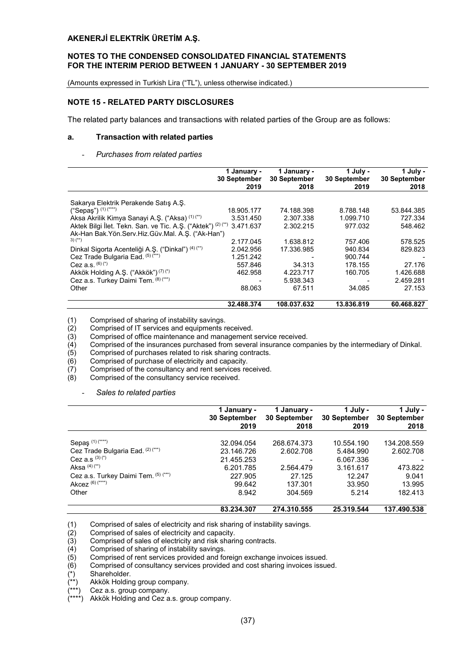#### NOTES TO THE CONDENSED CONSOLIDATED FINANCIAL STATEMENTS FOR THE INTERIM PERIOD BETWEEN 1 JANUARY - 30 SEPTEMBER 2019

(Amounts expressed in Turkish Lira ("TL"), unless otherwise indicated.)

# NOTE 15 - RELATED PARTY DISCLOSURES

The related party balances and transactions with related parties of the Group are as follows:

#### a. Transaction with related parties

#### - *Purchases from related parties*

|                                                              | 1 January -<br>30 September<br>2019 | 1 January -<br>30 September<br>2018 | 1 July -<br>30 September<br>2019 | 1 July -<br>30 September<br>2018 |
|--------------------------------------------------------------|-------------------------------------|-------------------------------------|----------------------------------|----------------------------------|
|                                                              |                                     |                                     |                                  |                                  |
| Sakarya Elektrik Perakende Satis A.S.                        |                                     |                                     |                                  |                                  |
| ("Sepaş") $(1)$ (****)                                       | 18.905.177                          | 74.188.398                          | 8.788.148                        | 53.844.385                       |
| Aksa Akrilik Kimya Sanayi A.S. ("Aksa) (1) (")               | 3.531.450                           | 2.307.338                           | 1.099.710                        | 727.334                          |
| Aktek Bilgi İlet. Tekn. San. ve Tic. A.Ş. ("Aktek") (2) (**) | 3.471.637                           | 2.302.215                           | 977.032                          | 548.462                          |
| Ak-Han Bak.Yön.Serv.Hiz.Güv.Mal. A.S. ("Ak-Han")             |                                     |                                     |                                  |                                  |
| $3)$ (**)                                                    | 2.177.045                           | 1.638.812                           | 757.406                          | 578.525                          |
| Dinkal Sigorta Acenteliği A.Ş. ("Dinkal") (4) (**)           | 2.042.956                           | 17.336.985                          | 940.834                          | 829.823                          |
| Cez Trade Bulgaria Ead. (5) (***)                            | 1.251.242                           |                                     | 900.744                          |                                  |
| Cez a.s. $(6)(*)$                                            | 557.846                             | 34.313                              | 178.155                          | 27.176                           |
| Akkök Holding A.Ş. ("Akkök") (7) (*)                         | 462.958                             | 4.223.717                           | 160.705                          | 1.426.688                        |
| Cez a.s. Turkey Daimi Tem. (8) (***)                         |                                     | 5.938.343                           |                                  | 2.459.281                        |
| Other                                                        | 88.063                              | 67.511                              | 34.085                           | 27.153                           |
|                                                              | 32.488.374                          | 108.037.632                         | 13.836.819                       | 60.468.827                       |

(1) Comprised of sharing of instability savings.<br>(2) Comprised of IT services and equipments n (2) Comprised of IT services and equipments received.<br>(3) Comprised of office maintenance and management

 $(3)$  Comprised of office maintenance and management service received.<br>(4) Comprised of the insurances purchased from several insurance comp

 $\overline{(4)}$  Comprised of the insurances purchased from several insurance companies by the intermediary of Dinkal.<br>(5) Comprised of purchases related to risk sharing contracts.

- Comprised of purchase of electricity and capacity.
- $(5)$  Comprised of purchases related to risk sharing contracts.<br>  $(6)$  Comprised of purchase of electricity and capacity.<br>  $(7)$  Comprised of the consultancy and rent services received.  $(7)$  Comprised of the consultancy and rent services received.<br>(8) Comprised of the consultancy service received.
- Comprised of the consultancy service received.
	- *Sales to related parties*

|                                      | 1 January -<br>30 September<br>2019 | January -<br>30 September<br>2018 | 1 July -<br>30 September<br>2019 | 1 July -<br>30 September<br>2018 |
|--------------------------------------|-------------------------------------|-----------------------------------|----------------------------------|----------------------------------|
| Sepaş <sup>(1)(****)</sup>           | 32.094.054                          | 268.674.373                       | 10.554.190                       | 134.208.559                      |
| Cez Trade Bulgaria Ead. (2) (***)    | 23.146.726                          | 2.602.708                         | 5.484.990                        | 2.602.708                        |
| Cez a.s $(3)(*)$                     | 21.455.253                          |                                   | 6.067.336                        |                                  |
| Aksa $(4)$ $(**)$                    | 6.201.785                           | 2.564.479                         | 3.161.617                        | 473.822                          |
| Cez a.s. Turkey Daimi Tem. (5) (***) | 227.905                             | 27.125                            | 12.247                           | 9.041                            |
| Akcez $(6)$ (****)                   | 99.642                              | 137.301                           | 33.950                           | 13.995                           |
| Other                                | 8.942                               | 304.569                           | 5.214                            | 182.413                          |
|                                      | 83.234.307                          | 274.310.555                       | 25.319.544                       | 137.490.538                      |

(1) Comprised of sales of electricity and risk sharing of instability savings.<br>
(2) Comprised of sales of electricity and capacity.<br>
(3) Comprised of sales of electricity and risk sharing contracts.

Comprised of sales of electricity and capacity.

Comprised of sharing of instability savings.

(3) Comprised of sales of electricity and risk sharing contracts.<br>
(4) Comprised of sharing of instability savings.<br>
(5) Comprised of rent services provided and foreign exchange<br>
(6) Comprised of consultancy services prov Comprised of rent services provided and foreign exchange invoices issued.

Comprised of consultancy services provided and cost sharing invoices issued.

Shareholder.

Akkök Holding group company.

Cez a.s. group company.

Akkök Holding and Cez a.s. group company.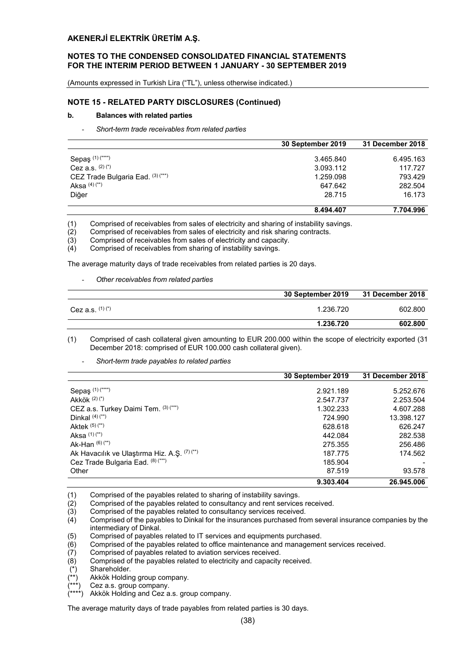#### NOTES TO THE CONDENSED CONSOLIDATED FINANCIAL STATEMENTS FOR THE INTERIM PERIOD BETWEEN 1 JANUARY - 30 SEPTEMBER 2019

(Amounts expressed in Turkish Lira ("TL"), unless otherwise indicated.)

#### NOTE 15 - RELATED PARTY DISCLOSURES (Continued)

#### b. Balances with related parties

- *Short-term trade receivables from related parties*

|                                   | 30 September 2019 | <b>31 December 2018</b> |
|-----------------------------------|-------------------|-------------------------|
|                                   |                   |                         |
| Sepaş (1) (****)                  | 3.465.840         | 6.495.163               |
| Cez a.s. $(2)(*)$                 | 3.093.112         | 117.727                 |
| CEZ Trade Bulgaria Ead. (3) (***) | 1.259.098         | 793.429                 |
| Aksa $(4)$ $(**)$                 | 647.642           | 282.504                 |
| Diğer                             | 28.715            | 16.173                  |
|                                   | 8.494.407         | 7.704.996               |

(1) Comprised of receivables from sales of electricity and sharing of instability savings.

(2) Comprised of receivables from sales of electricity and risk sharing contracts.

- (3) Comprised of receivables from sales of electricity and capacity.<br>(4) Comprised of receivables from sharing of instability savings.
- Comprised of receivables from sharing of instability savings.

The average maturity days of trade receivables from related parties is 20 days.

#### - *Other receivables from related parties*

|                   | 30 September 2019 | 31 December 2018 |
|-------------------|-------------------|------------------|
| Cez a.s. $(1)(*)$ | 1.236.720         | 602.800          |
|                   | 1.236.720         | 602.800          |

(1) Comprised of cash collateral given amounting to EUR 200.000 within the scope of electricity exported (31 December 2018: comprised of EUR 100.000 cash collateral given).

- *Short-term trade payables to related parties*

|                                              | 30 September 2019 | 31 December 2018 |
|----------------------------------------------|-------------------|------------------|
|                                              |                   |                  |
| Sepaş (1) (****)                             | 2.921.189         | 5.252.676        |
| Akkök $(2)(*)$                               | 2.547.737         | 2.253.504        |
| CEZ a.s. Turkey Daimi Tem. (3) (***)         | 1.302.233         | 4.607.288        |
| Dinkal $(4)$ $(*)$                           | 724.990           | 13.398.127       |
| Aktek $(5)(**)$                              | 628.618           | 626.247          |
| Aksa $(1)(**)$                               | 442.084           | 282.538          |
| Ak-Han $(6)(**)$                             | 275.355           | 256.486          |
| Ak Havacılık ve Ulaştırma Hiz. A.Ş. (7) (**) | 187.775           | 174.562          |
| Cez Trade Bulgaria Ead. (8) (***)            | 185.904           |                  |
| Other                                        | 87.519            | 93.578           |
|                                              | 9.303.404         | 26.945.006       |

(1) Comprised of the payables related to sharing of instability savings.<br>(2) Comprised of the payables related to consultancy and rent services

(2) Comprised of the payables related to consultancy and rent services received.<br>(3) Comprised of the payables related to consultancy services received.

(3) Comprised of the payables related to consultancy services received.<br>(4) Comprised of the payables to Dinkal for the insurances purchased fro

Comprised of the payables to Dinkal for the insurances purchased from several insurance companies by the intermediary of Dinkal.

(5) Comprised of payables related to IT services and equipments purchased.

 $\hat{f}(6)$  Comprised of the payables related to office maintenance and management services received.<br>(7) Comprised of payables related to aviation services received.

Comprised of payables related to aviation services received.

(8) Comprised of the payables related to electricity and capacity received.

 $(*)$  Shareholder.<br> $(**)$  Akkök Holdin

Akkök Holding group company.

Cez a.s. group company.

Akkök Holding and Cez a.s. group company.

The average maturity days of trade payables from related parties is 30 days.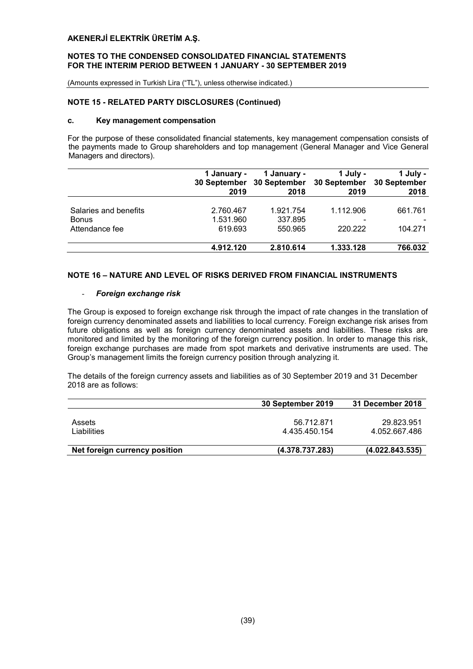#### NOTES TO THE CONDENSED CONSOLIDATED FINANCIAL STATEMENTS FOR THE INTERIM PERIOD BETWEEN 1 JANUARY - 30 SEPTEMBER 2019

(Amounts expressed in Turkish Lira ("TL"), unless otherwise indicated.)

## NOTE 15 - RELATED PARTY DISCLOSURES (Continued)

#### c. Key management compensation

For the purpose of these consolidated financial statements, key management compensation consists of the payments made to Group shareholders and top management (General Manager and Vice General Managers and directors).

|                       | 1 January -<br>30 September<br>2019 | 1 January -<br>30 September<br>2018 | 1 July -<br>30 September<br>2019 | 1 July -<br>30 September<br>2018 |
|-----------------------|-------------------------------------|-------------------------------------|----------------------------------|----------------------------------|
|                       |                                     |                                     |                                  |                                  |
| Salaries and benefits | 2.760.467                           | 1.921.754                           | 1.112.906                        | 661.761                          |
| <b>Bonus</b>          | 1.531.960                           | 337.895                             | $\overline{\phantom{0}}$         |                                  |
| Attendance fee        | 619.693                             | 550.965                             | 220.222                          | 104.271                          |
|                       | 4.912.120                           | 2.810.614                           | 1.333.128                        | 766.032                          |

# NOTE 16 – NATURE AND LEVEL OF RISKS DERIVED FROM FINANCIAL INSTRUMENTS

# - *Foreign exchange risk*

The Group is exposed to foreign exchange risk through the impact of rate changes in the translation of foreign currency denominated assets and liabilities to local currency. Foreign exchange risk arises from future obligations as well as foreign currency denominated assets and liabilities. These risks are monitored and limited by the monitoring of the foreign currency position. In order to manage this risk, foreign exchange purchases are made from spot markets and derivative instruments are used. The Group's management limits the foreign currency position through analyzing it.

The details of the foreign currency assets and liabilities as of 30 September 2019 and 31 December 2018 are as follows:

| 30 September 2019 | 31 December 2018 |
|-------------------|------------------|
|                   |                  |
| 56.712.871        | 29.823.951       |
| 4.435.450.154     | 4.052.667.486    |
|                   |                  |
| (4.378.737.283)   | (4.022.843.535)  |
|                   |                  |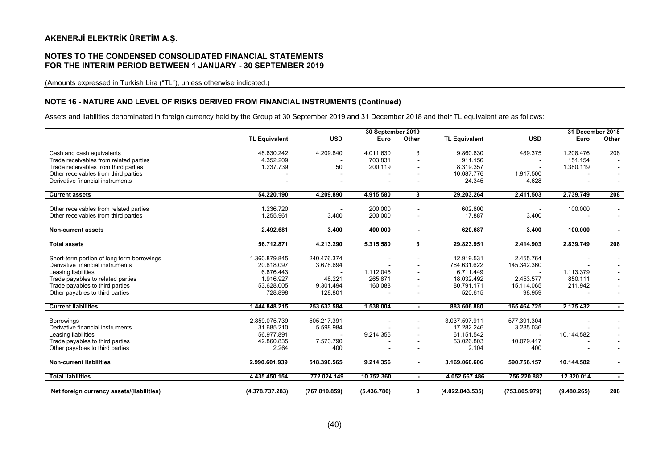#### NOTES TO THE CONDENSED CONSOLIDATED FINANCIAL STATEMENTS FOR THE INTERIM PERIOD BETWEEN 1 JANUARY - 30 SEPTEMBER 2019

(Amounts expressed in Turkish Lira ("TL"), unless otherwise indicated.)

#### NOTE 16 - NATURE AND LEVEL OF RISKS DERIVED FROM FINANCIAL INSTRUMENTS (Continued)

Assets and liabilities denominated in foreign currency held by the Group at 30 September 2019 and 31 December 2018 and their TL equivalent are as follows:

|                                                       | 30 September 2019    |               |             |                          | 31 December 2018     |                  |             |                |
|-------------------------------------------------------|----------------------|---------------|-------------|--------------------------|----------------------|------------------|-------------|----------------|
|                                                       | <b>TL Equivalent</b> | <b>USD</b>    | Euro        | Other                    | <b>TL Equivalent</b> | $\overline{USD}$ | Euro        | Other          |
|                                                       |                      |               |             |                          |                      |                  |             |                |
| Cash and cash equivalents                             | 48.630.242           | 4.209.840     | 4.011.630   | 3                        | 9.860.630            | 489.375          | 1.208.476   | 208            |
| Trade receivables from related parties                | 4.352.209            |               | 703.831     | $\overline{\phantom{a}}$ | 911.156              |                  | 151.154     |                |
| Trade receivables from third parties                  | 1.237.739            | 50            | 200.119     | $\overline{\phantom{a}}$ | 8.319.357            |                  | 1.380.119   |                |
| Other receivables from third parties                  |                      |               |             |                          | 10.087.776           | 1.917.500        |             |                |
| Derivative financial instruments                      |                      |               |             |                          | 24.345               | 4.628            |             |                |
|                                                       |                      |               |             |                          |                      |                  |             |                |
| <b>Current assets</b>                                 | 54.220.190           | 4.209.890     | 4.915.580   | 3                        | 29.203.264           | 2.411.503        | 2.739.749   | 208            |
|                                                       |                      |               |             |                          |                      |                  |             |                |
| Other receivables from related parties                | 1.236.720            |               | 200.000     |                          | 602.800              |                  | 100.000     |                |
| Other receivables from third parties                  | 1.255.961            | 3.400         | 200.000     |                          | 17.887               | 3.400            |             | $\sim$         |
|                                                       |                      |               |             |                          |                      |                  |             |                |
| <b>Non-current assets</b>                             | 2.492.681            | 3.400         | 400.000     | $\blacksquare$           | 620.687              | 3.400            | 100.000     | $\blacksquare$ |
|                                                       |                      |               |             |                          |                      |                  |             |                |
| <b>Total assets</b>                                   | 56.712.871           | 4.213.290     | 5.315.580   | 3                        | 29.823.951           | 2.414.903        | 2.839.749   | 208            |
|                                                       |                      |               |             |                          |                      |                  |             |                |
| Short-term portion of long term borrowings            | 1.360.879.845        | 240.476.374   |             |                          | 12.919.531           | 2.455.764        |             |                |
| Derivative financial instruments                      | 20.818.097           | 3.678.694     |             |                          | 764.631.622          | 145.342.360      |             |                |
| Leasing liabilities                                   | 6.876.443            |               | 1.112.045   | $\blacksquare$           | 6.711.449            |                  | 1.113.379   |                |
| Trade payables to related parties                     | 1.916.927            | 48.221        | 265.871     |                          | 18.032.492           | 2.453.577        | 850.111     |                |
| Trade payables to third parties                       | 53.628.005           | 9.301.494     | 160.088     |                          | 80.791.171           | 15.114.065       | 211.942     |                |
| Other payables to third parties                       | 728.898              | 128.801       |             |                          | 520.615              | 98.959           |             |                |
|                                                       |                      |               |             |                          |                      |                  |             |                |
| <b>Current liabilities</b>                            | 1.444.848.215        | 253.633.584   | 1.538.004   | $\blacksquare$           | 883.606.880          | 165.464.725      | 2.175.432   |                |
|                                                       | 2.859.075.739        | 505.217.391   |             |                          | 3.037.597.911        | 577.391.304      |             |                |
| <b>Borrowings</b><br>Derivative financial instruments | 31.685.210           | 5.598.984     |             |                          | 17.282.246           | 3.285.036        |             |                |
|                                                       | 56.977.891           |               |             |                          | 61.151.542           |                  |             |                |
| Leasing liabilities                                   |                      |               | 9.214.356   |                          |                      |                  | 10.144.582  |                |
| Trade payables to third parties                       | 42.860.835           | 7.573.790     |             |                          | 53.026.803           | 10.079.417       |             |                |
| Other payables to third parties                       | 2.264                | 400           |             |                          | 2.104                | 400              |             |                |
| <b>Non-current liabilities</b>                        | 2.990.601.939        | 518.390.565   | 9.214.356   | $\blacksquare$           | 3.169.060.606        | 590.756.157      | 10.144.582  | $\blacksquare$ |
|                                                       |                      |               |             |                          |                      |                  |             |                |
| <b>Total liabilities</b>                              | 4.435.450.154        | 772.024.149   | 10.752.360  | $\blacksquare$           | 4.052.667.486        | 756.220.882      | 12.320.014  | $\blacksquare$ |
|                                                       |                      |               |             |                          |                      |                  |             |                |
| Net foreign currency assets/(liabilities)             | (4.378.737.283)      | (767.810.859) | (5.436.780) | 3                        | (4.022.843.535)      | (753.805.979)    | (9.480.265) | 208            |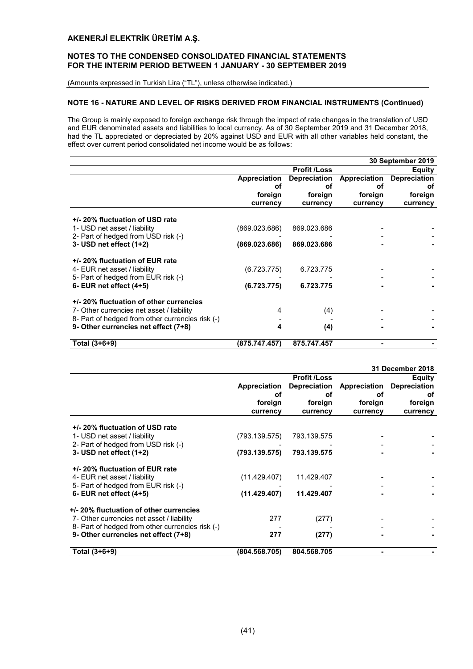# NOTES TO THE CONDENSED CONSOLIDATED FINANCIAL STATEMENTS FOR THE INTERIM PERIOD BETWEEN 1 JANUARY - 30 SEPTEMBER 2019

(Amounts expressed in Turkish Lira ("TL"), unless otherwise indicated.)

## NOTE 16 - NATURE AND LEVEL OF RISKS DERIVED FROM FINANCIAL INSTRUMENTS (Continued)

The Group is mainly exposed to foreign exchange risk through the impact of rate changes in the translation of USD and EUR denominated assets and liabilities to local currency. As of 30 September 2019 and 31 December 2018, had the TL appreciated or depreciated by 20% against USD and EUR with all other variables held constant, the effect over current period consolidated net income would be as follows:

|                                                                                                                                   |                                |                            |              | 30 September 2019   |
|-----------------------------------------------------------------------------------------------------------------------------------|--------------------------------|----------------------------|--------------|---------------------|
|                                                                                                                                   |                                | <b>Profit /Loss</b>        |              | Equity              |
|                                                                                                                                   | <b>Appreciation</b>            | <b>Depreciation</b>        | Appreciation | <b>Depreciation</b> |
|                                                                                                                                   | οf                             | оf                         | οf           | оf                  |
|                                                                                                                                   | foreign                        | foreign                    | foreign      | foreign             |
|                                                                                                                                   | currency                       | currency                   | currency     | currency            |
| +/- 20% fluctuation of USD rate<br>1- USD net asset / liability<br>2- Part of hedged from USD risk (-)<br>3- USD net effect (1+2) | (869.023.686)<br>(869.023.686) | 869.023.686<br>869.023.686 |              |                     |
|                                                                                                                                   |                                |                            |              |                     |
| +/- 20% fluctuation of EUR rate<br>4- EUR net asset / liability<br>5- Part of hedged from EUR risk (-)                            | (6.723.775)                    | 6.723.775                  |              |                     |
| 6- EUR net effect $(4+5)$                                                                                                         | (6.723.775)                    | 6.723.775                  |              |                     |
| +/-20% fluctuation of other currencies                                                                                            |                                |                            |              |                     |
| 7- Other currencies net asset / liability                                                                                         | 4                              | (4)                        |              |                     |
| 8- Part of hedged from other currencies risk (-)                                                                                  |                                |                            |              |                     |
| 9- Other currencies net effect (7+8)                                                                                              | 4                              | (4)                        |              |                     |
| Total (3+6+9)                                                                                                                     | (875.747.457)                  | 875.747.457                |              |                     |

|                                                                                                        |               |                     |              | <b>31 December 2018</b> |
|--------------------------------------------------------------------------------------------------------|---------------|---------------------|--------------|-------------------------|
|                                                                                                        |               | <b>Profit /Loss</b> |              | <b>Equity</b>           |
|                                                                                                        | Appreciation  | <b>Depreciation</b> | Appreciation | <b>Depreciation</b>     |
|                                                                                                        | оf            | οf                  | οf           | οf                      |
|                                                                                                        | foreign       | foreign             | foreign      | foreign                 |
|                                                                                                        | currency      | currency            | currency     | currency                |
| +/- 20% fluctuation of USD rate<br>1- USD net asset / liability                                        | (793.139.575) | 793.139.575         |              |                         |
| 2- Part of hedged from USD risk (-)<br>3- USD net effect $(1+2)$                                       | (793.139.575) | 793.139.575         |              |                         |
| +/- 20% fluctuation of EUR rate<br>4- EUR net asset / liability<br>5- Part of hedged from EUR risk (-) | (11.429.407)  | 11.429.407          |              |                         |
| 6- EUR net effect $(4+5)$                                                                              | (11.429.407)  | 11.429.407          |              |                         |
| +/-20% fluctuation of other currencies                                                                 |               |                     |              |                         |
| 7- Other currencies net asset / liability                                                              | 277           | (277)               |              |                         |
| 8- Part of hedged from other currencies risk (-)                                                       |               |                     |              |                         |
| 9- Other currencies net effect (7+8)                                                                   | 277           | (277)               |              |                         |
| Total (3+6+9)                                                                                          | (804.568.705) | 804.568.705         |              |                         |